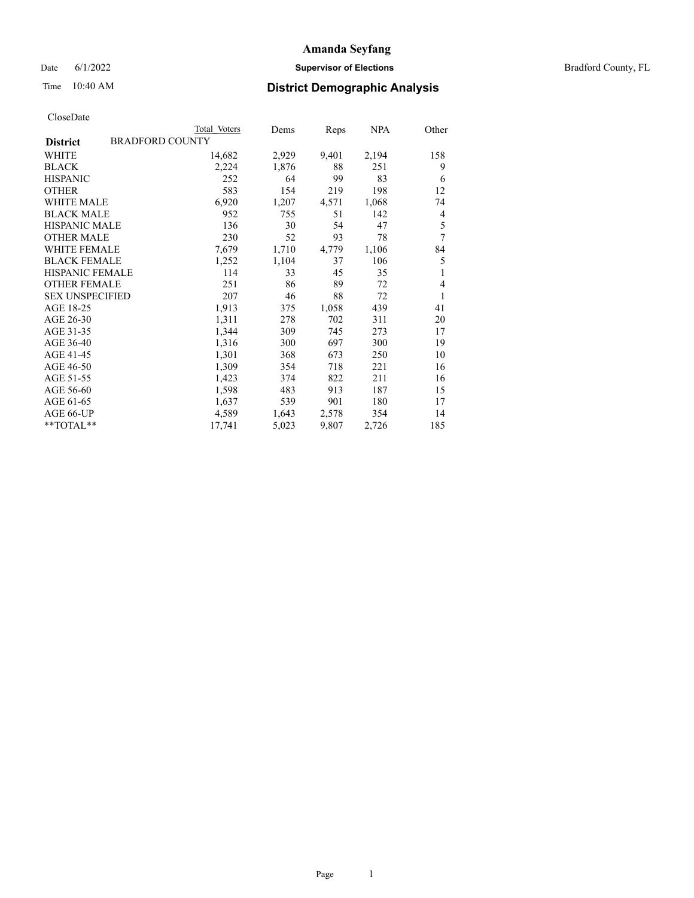Date 6/1/2022 **Supervisor of Elections Supervisor of Elections** Bradford County, FL

| CloseDate |
|-----------|
|-----------|

|                                           | Total Voters | Dems  | Reps  | NPA   | Other |
|-------------------------------------------|--------------|-------|-------|-------|-------|
| <b>BRADFORD COUNTY</b><br><b>District</b> |              |       |       |       |       |
| WHITE                                     | 14,682       | 2,929 | 9,401 | 2,194 | 158   |
| <b>BLACK</b>                              | 2,224        | 1,876 | 88    | 251   | 9     |
| <b>HISPANIC</b>                           | 252          | 64    | 99    | 83    | 6     |
| <b>OTHER</b>                              | 583          | 154   | 219   | 198   | 12    |
| <b>WHITE MALE</b>                         | 6,920        | 1,207 | 4,571 | 1,068 | 74    |
| <b>BLACK MALE</b>                         | 952          | 755   | 51    | 142   | 4     |
| <b>HISPANIC MALE</b>                      | 136          | 30    | 54    | 47    | 5     |
| <b>OTHER MALE</b>                         | 230          | 52    | 93    | 78    | 7     |
| <b>WHITE FEMALE</b>                       | 7,679        | 1,710 | 4,779 | 1,106 | 84    |
| <b>BLACK FEMALE</b>                       | 1,252        | 1,104 | 37    | 106   | 5     |
| <b>HISPANIC FEMALE</b>                    | 114          | 33    | 45    | 35    | 1     |
| <b>OTHER FEMALE</b>                       | 251          | 86    | 89    | 72    | 4     |
| <b>SEX UNSPECIFIED</b>                    | 207          | 46    | 88    | 72    | 1     |
| AGE 18-25                                 | 1,913        | 375   | 1,058 | 439   | 41    |
| AGE 26-30                                 | 1,311        | 278   | 702   | 311   | 20    |
| AGE 31-35                                 | 1,344        | 309   | 745   | 273   | 17    |
| AGE 36-40                                 | 1,316        | 300   | 697   | 300   | 19    |
| AGE 41-45                                 | 1,301        | 368   | 673   | 250   | 10    |
| AGE 46-50                                 | 1,309        | 354   | 718   | 221   | 16    |
| AGE 51-55                                 | 1,423        | 374   | 822   | 211   | 16    |
| AGE 56-60                                 | 1,598        | 483   | 913   | 187   | 15    |
| AGE 61-65                                 | 1,637        | 539   | 901   | 180   | 17    |
| AGE 66-UP                                 | 4,589        | 1,643 | 2,578 | 354   | 14    |
| **TOTAL**                                 | 17,741       | 5,023 | 9,807 | 2,726 | 185   |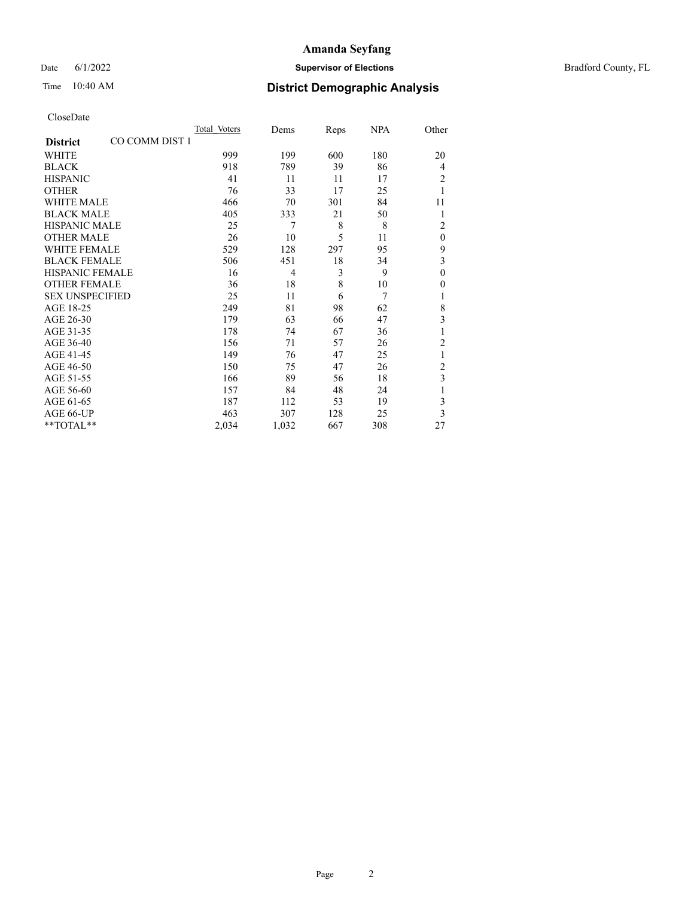Date 6/1/2022 **Supervisor of Elections Supervisor of Elections** Bradford County, FL

# Time 10:40 AM **District Demographic Analysis**

|                                   | Total Voters | Dems  | Reps | NPA | Other          |
|-----------------------------------|--------------|-------|------|-----|----------------|
| CO COMM DIST 1<br><b>District</b> |              |       |      |     |                |
| WHITE                             | 999          | 199   | 600  | 180 | 20             |
| <b>BLACK</b>                      | 918          | 789   | 39   | 86  | 4              |
| <b>HISPANIC</b>                   | 41           | 11    | 11   | 17  | 2              |
| <b>OTHER</b>                      | 76           | 33    | 17   | 25  |                |
| WHITE MALE                        | 466          | 70    | 301  | 84  | 11             |
| <b>BLACK MALE</b>                 | 405          | 333   | 21   | 50  | 1              |
| <b>HISPANIC MALE</b>              | 25           | 7     | 8    | 8   | $\overline{2}$ |
| <b>OTHER MALE</b>                 | 26           | 10    | 5    | 11  | $\theta$       |
| <b>WHITE FEMALE</b>               | 529          | 128   | 297  | 95  | 9              |
| <b>BLACK FEMALE</b>               | 506          | 451   | 18   | 34  | 3              |
| <b>HISPANIC FEMALE</b>            | 16           | 4     | 3    | 9   | $\theta$       |
| <b>OTHER FEMALE</b>               | 36           | 18    | 8    | 10  | $\theta$       |
| <b>SEX UNSPECIFIED</b>            | 25           | 11    | 6    | 7   |                |
| AGE 18-25                         | 249          | 81    | 98   | 62  | 8              |
| AGE 26-30                         | 179          | 63    | 66   | 47  | 3              |
| AGE 31-35                         | 178          | 74    | 67   | 36  |                |
| AGE 36-40                         | 156          | 71    | 57   | 26  | $\overline{c}$ |
| AGE 41-45                         | 149          | 76    | 47   | 25  | 1              |
| AGE 46-50                         | 150          | 75    | 47   | 26  | 2              |
| AGE 51-55                         | 166          | 89    | 56   | 18  | 3              |
| AGE 56-60                         | 157          | 84    | 48   | 24  |                |
| AGE 61-65                         | 187          | 112   | 53   | 19  | 3              |
| AGE 66-UP                         | 463          | 307   | 128  | 25  | 3              |
| **TOTAL**                         | 2,034        | 1,032 | 667  | 308 | 27             |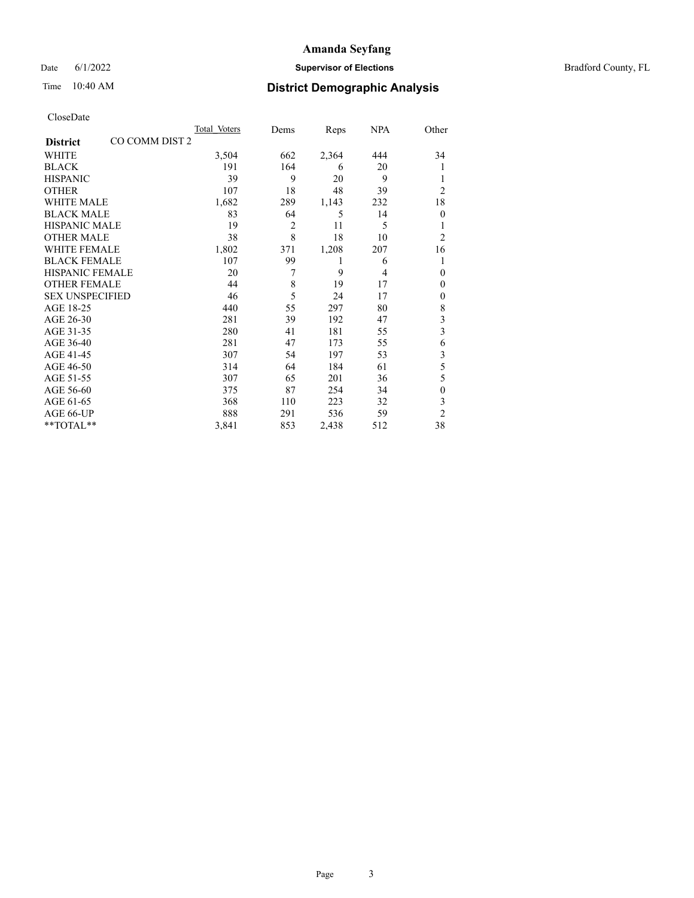#### Date 6/1/2022 **Supervisor of Elections Supervisor of Elections** Bradford County, FL

## Time 10:40 AM **District Demographic Analysis**

|                        |                | Total Voters | Dems           | Reps  | <b>NPA</b> | Other          |
|------------------------|----------------|--------------|----------------|-------|------------|----------------|
| <b>District</b>        | CO COMM DIST 2 |              |                |       |            |                |
| <b>WHITE</b>           |                | 3,504        | 662            | 2,364 | 444        | 34             |
| <b>BLACK</b>           |                | 191          | 164            | 6     | 20         | 1              |
| <b>HISPANIC</b>        |                | 39           | 9              | 20    | 9          |                |
| <b>OTHER</b>           |                | 107          | 18             | 48    | 39         | $\overline{c}$ |
| <b>WHITE MALE</b>      |                | 1,682        | 289            | 1,143 | 232        | 18             |
| <b>BLACK MALE</b>      |                | 83           | 64             | 5     | 14         | $\theta$       |
| <b>HISPANIC MALE</b>   |                | 19           | $\overline{2}$ | 11    | 5          |                |
| <b>OTHER MALE</b>      |                | 38           | 8              | 18    | 10         | $\overline{2}$ |
| <b>WHITE FEMALE</b>    |                | 1,802        | 371            | 1,208 | 207        | 16             |
| <b>BLACK FEMALE</b>    |                | 107          | 99             | 1     | 6          | 1              |
| <b>HISPANIC FEMALE</b> |                | 20           | 7              | 9     | 4          | $\theta$       |
| <b>OTHER FEMALE</b>    |                | 44           | 8              | 19    | 17         | $\mathbf{0}$   |
| <b>SEX UNSPECIFIED</b> |                | 46           | 5              | 24    | 17         | $\mathbf{0}$   |
| AGE 18-25              |                | 440          | 55             | 297   | 80         | 8              |
| AGE 26-30              |                | 281          | 39             | 192   | 47         | 3              |
| AGE 31-35              |                | 280          | 41             | 181   | 55         | 3              |
| AGE 36-40              |                | 281          | 47             | 173   | 55         | 6              |
| AGE 41-45              |                | 307          | 54             | 197   | 53         | 3              |
| AGE 46-50              |                | 314          | 64             | 184   | 61         | 5              |
| AGE 51-55              |                | 307          | 65             | 201   | 36         | 5              |
| AGE 56-60              |                | 375          | 87             | 254   | 34         | $\mathbf{0}$   |
| AGE 61-65              |                | 368          | 110            | 223   | 32         | 3              |
| AGE 66-UP              |                | 888          | 291            | 536   | 59         | $\overline{2}$ |
| **TOTAL**              |                | 3,841        | 853            | 2,438 | 512        | 38             |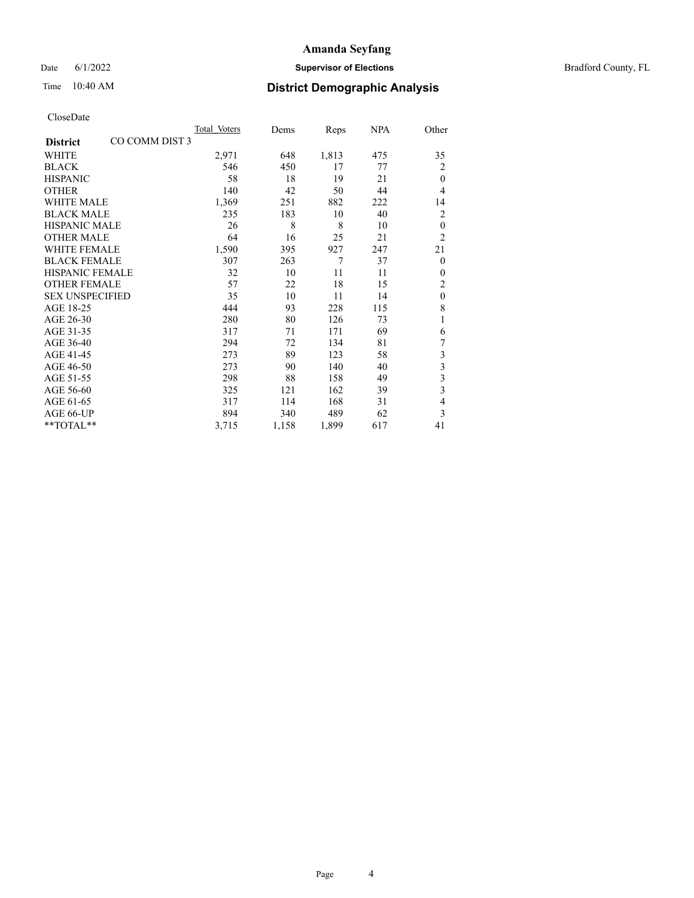## Date 6/1/2022 **Supervisor of Elections** Bradford County, FL

## Time 10:40 AM **District Demographic Analysis**

|                        |                | Total Voters | Dems  | Reps  | <b>NPA</b> | Other          |
|------------------------|----------------|--------------|-------|-------|------------|----------------|
| <b>District</b>        | CO COMM DIST 3 |              |       |       |            |                |
| <b>WHITE</b>           |                | 2,971        | 648   | 1,813 | 475        | 35             |
| <b>BLACK</b>           |                | 546          | 450   | 17    | 77         | 2              |
| <b>HISPANIC</b>        |                | 58           | 18    | 19    | 21         | $\theta$       |
| <b>OTHER</b>           |                | 140          | 42    | 50    | 44         | 4              |
| <b>WHITE MALE</b>      |                | 1,369        | 251   | 882   | 222        | 14             |
| <b>BLACK MALE</b>      |                | 235          | 183   | 10    | 40         | $\overline{2}$ |
| <b>HISPANIC MALE</b>   |                | 26           | 8     | 8     | 10         | $\theta$       |
| <b>OTHER MALE</b>      |                | 64           | 16    | 25    | 21         | $\overline{2}$ |
| <b>WHITE FEMALE</b>    |                | 1,590        | 395   | 927   | 247        | 21             |
| <b>BLACK FEMALE</b>    |                | 307          | 263   | 7     | 37         | $\theta$       |
| <b>HISPANIC FEMALE</b> |                | 32           | 10    | 11    | 11         | $\Omega$       |
| <b>OTHER FEMALE</b>    |                | 57           | 22    | 18    | 15         | $\overline{2}$ |
| <b>SEX UNSPECIFIED</b> |                | 35           | 10    | 11    | 14         | $\theta$       |
| AGE 18-25              |                | 444          | 93    | 228   | 115        | 8              |
| AGE 26-30              |                | 280          | 80    | 126   | 73         | 1              |
| AGE 31-35              |                | 317          | 71    | 171   | 69         | 6              |
| AGE 36-40              |                | 294          | 72    | 134   | 81         | 7              |
| AGE 41-45              |                | 273          | 89    | 123   | 58         | 3              |
| AGE 46-50              |                | 273          | 90    | 140   | 40         | 3              |
| AGE 51-55              |                | 298          | 88    | 158   | 49         | 3              |
| AGE 56-60              |                | 325          | 121   | 162   | 39         | 3              |
| AGE 61-65              |                | 317          | 114   | 168   | 31         | 4              |
| AGE 66-UP              |                | 894          | 340   | 489   | 62         | 3              |
| **TOTAL**              |                | 3,715        | 1,158 | 1,899 | 617        | 41             |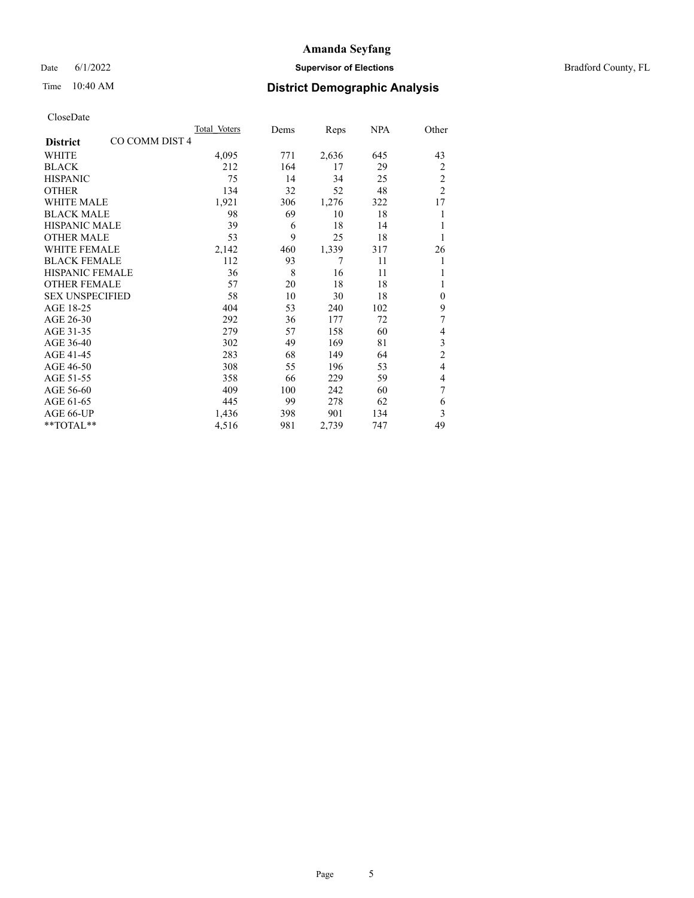Date 6/1/2022 **Supervisor of Elections Supervisor of Elections** Bradford County, FL

# Time 10:40 AM **District Demographic Analysis**

|                                  | <b>Total Voters</b> | Dems | Reps  | <u>NPA</u> | Other          |
|----------------------------------|---------------------|------|-------|------------|----------------|
| CO COMM DIST4<br><b>District</b> |                     |      |       |            |                |
| WHITE                            | 4,095               | 771  | 2,636 | 645        | 43             |
| <b>BLACK</b>                     | 212                 | 164  | 17    | 29         | 2              |
| <b>HISPANIC</b>                  | 75                  | 14   | 34    | 25         | $\overline{c}$ |
| <b>OTHER</b>                     | 134                 | 32   | 52    | 48         | $\overline{2}$ |
| <b>WHITE MALE</b>                | 1,921               | 306  | 1,276 | 322        | 17             |
| <b>BLACK MALE</b>                | 98                  | 69   | 10    | 18         | 1              |
| HISPANIC MALE                    | 39                  | 6    | 18    | 14         |                |
| <b>OTHER MALE</b>                | 53                  | 9    | 25    | 18         | 1              |
| <b>WHITE FEMALE</b>              | 2,142               | 460  | 1,339 | 317        | 26             |
| <b>BLACK FEMALE</b>              | 112                 | 93   | 7     | 11         | 1              |
| <b>HISPANIC FEMALE</b>           | 36                  | 8    | 16    | 11         | 1              |
| <b>OTHER FEMALE</b>              | 57                  | 20   | 18    | 18         |                |
| <b>SEX UNSPECIFIED</b>           | 58                  | 10   | 30    | 18         | $\mathbf{0}$   |
| AGE 18-25                        | 404                 | 53   | 240   | 102        | 9              |
| AGE 26-30                        | 292                 | 36   | 177   | 72         | 7              |
| AGE 31-35                        | 279                 | 57   | 158   | 60         | 4              |
| AGE 36-40                        | 302                 | 49   | 169   | 81         | 3              |
| AGE 41-45                        | 283                 | 68   | 149   | 64         | $\overline{c}$ |
| AGE 46-50                        | 308                 | 55   | 196   | 53         | $\overline{4}$ |
| AGE 51-55                        | 358                 | 66   | 229   | 59         | 4              |
| AGE 56-60                        | 409                 | 100  | 242   | 60         | 7              |
| AGE 61-65                        | 445                 | 99   | 278   | 62         | 6              |
| AGE 66-UP                        | 1,436               | 398  | 901   | 134        | 3              |
| **TOTAL**                        | 4,516               | 981  | 2,739 | 747        | 49             |
|                                  |                     |      |       |            |                |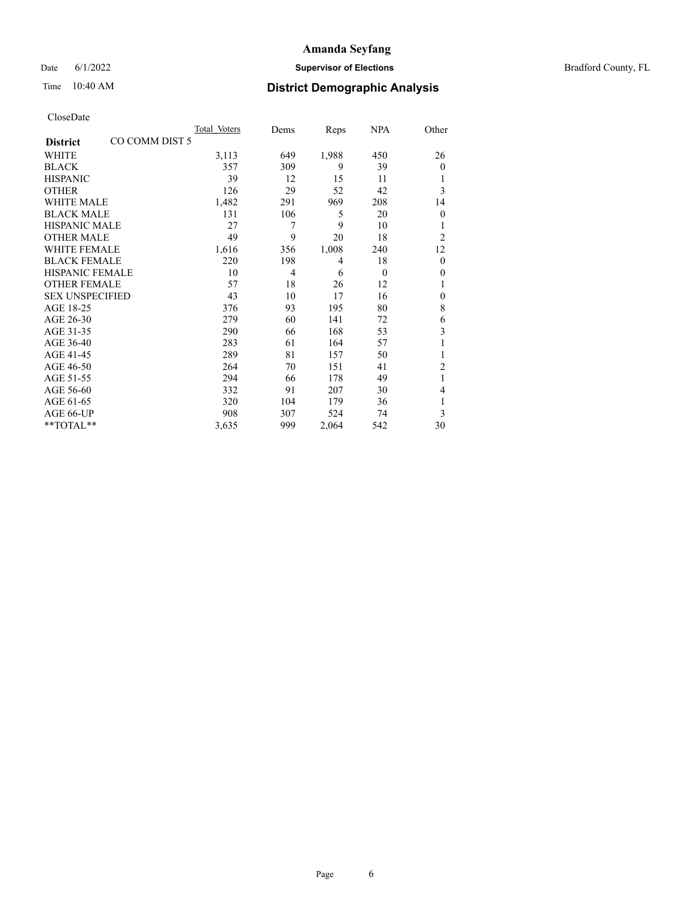Date 6/1/2022 **Supervisor of Elections Supervisor of Elections** Bradford County, FL

## Time 10:40 AM **District Demographic Analysis**

|                                   | Total Voters | Dems | Reps  | <u>NPA</u> | Other          |
|-----------------------------------|--------------|------|-------|------------|----------------|
| CO COMM DIST 5<br><b>District</b> |              |      |       |            |                |
| WHITE                             | 3,113        | 649  | 1,988 | 450        | 26             |
| <b>BLACK</b>                      | 357          | 309  | 9     | 39         | $\mathbf{0}$   |
| <b>HISPANIC</b>                   | 39           | 12   | 15    | 11         |                |
| <b>OTHER</b>                      | 126          | 29   | 52    | 42         | 3              |
| <b>WHITE MALE</b>                 | 1,482        | 291  | 969   | 208        | 14             |
| <b>BLACK MALE</b>                 | 131          | 106  | 5     | 20         | $\mathbf{0}$   |
| HISPANIC MALE                     | 27           | 7    | 9     | 10         |                |
| <b>OTHER MALE</b>                 | 49           | 9    | 20    | 18         | $\overline{2}$ |
| <b>WHITE FEMALE</b>               | 1,616        | 356  | 1,008 | 240        | 12             |
| <b>BLACK FEMALE</b>               | 220          | 198  | 4     | 18         | $\theta$       |
| <b>HISPANIC FEMALE</b>            | 10           | 4    | 6     | $\theta$   | $\mathbf{0}$   |
| <b>OTHER FEMALE</b>               | 57           | 18   | 26    | 12         |                |
| <b>SEX UNSPECIFIED</b>            | 43           | 10   | 17    | 16         | $\mathbf{0}$   |
| AGE 18-25                         | 376          | 93   | 195   | 80         | 8              |
| AGE 26-30                         | 279          | 60   | 141   | 72         | 6              |
| AGE 31-35                         | 290          | 66   | 168   | 53         | 3              |
| AGE 36-40                         | 283          | 61   | 164   | 57         | 1              |
| AGE 41-45                         | 289          | 81   | 157   | 50         |                |
| AGE 46-50                         | 264          | 70   | 151   | 41         | $\overline{2}$ |
| AGE 51-55                         | 294          | 66   | 178   | 49         | 1              |
| AGE 56-60                         | 332          | 91   | 207   | 30         | 4              |
| AGE 61-65                         | 320          | 104  | 179   | 36         | 1              |
| AGE 66-UP                         | 908          | 307  | 524   | 74         | 3              |
| **TOTAL**                         | 3,635        | 999  | 2,064 | 542        | 30             |
|                                   |              |      |       |            |                |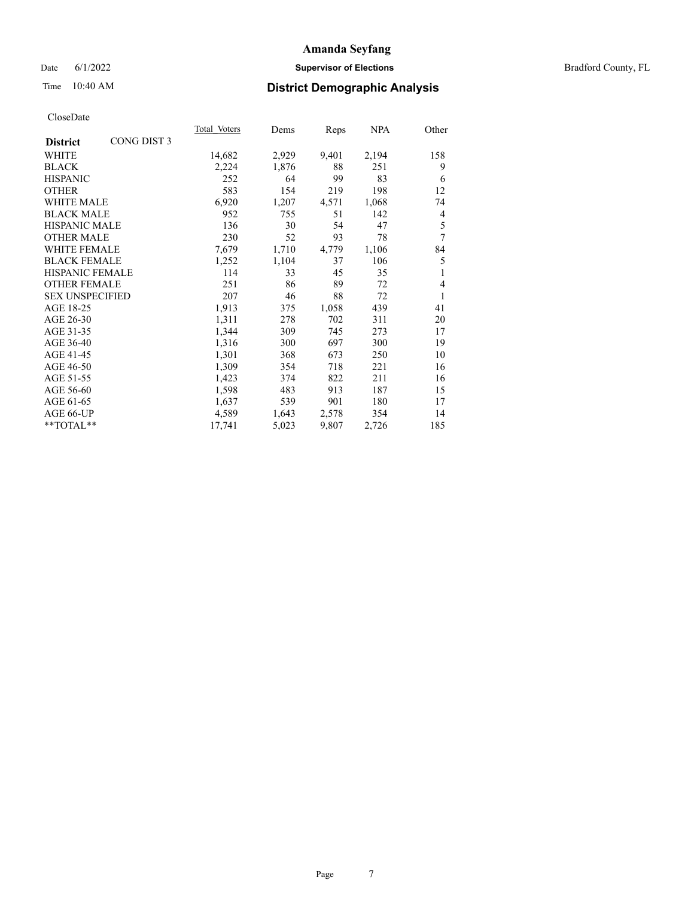#### Date 6/1/2022 **Supervisor of Elections Supervisor of Elections** Bradford County, FL

# Time 10:40 AM **District Demographic Analysis**

|                        |             | Total Voters | Dems  | Reps  | NPA   | Other |
|------------------------|-------------|--------------|-------|-------|-------|-------|
| <b>District</b>        | CONG DIST 3 |              |       |       |       |       |
| WHITE                  |             | 14,682       | 2,929 | 9,401 | 2,194 | 158   |
| <b>BLACK</b>           |             | 2,224        | 1,876 | 88    | 251   | 9     |
| <b>HISPANIC</b>        |             | 252          | 64    | 99    | 83    | 6     |
| <b>OTHER</b>           |             | 583          | 154   | 219   | 198   | 12    |
| WHITE MALE             |             | 6,920        | 1,207 | 4,571 | 1,068 | 74    |
| <b>BLACK MALE</b>      |             | 952          | 755   | 51    | 142   | 4     |
| <b>HISPANIC MALE</b>   |             | 136          | 30    | 54    | 47    | 5     |
| <b>OTHER MALE</b>      |             | 230          | 52    | 93    | 78    | 7     |
| <b>WHITE FEMALE</b>    |             | 7,679        | 1,710 | 4,779 | 1,106 | 84    |
| <b>BLACK FEMALE</b>    |             | 1,252        | 1,104 | 37    | 106   | 5     |
| <b>HISPANIC FEMALE</b> |             | 114          | 33    | 45    | 35    | 1     |
| <b>OTHER FEMALE</b>    |             | 251          | 86    | 89    | 72    | 4     |
| <b>SEX UNSPECIFIED</b> |             | 207          | 46    | 88    | 72    | 1     |
| AGE 18-25              |             | 1,913        | 375   | 1,058 | 439   | 41    |
| AGE 26-30              |             | 1,311        | 278   | 702   | 311   | 20    |
| AGE 31-35              |             | 1,344        | 309   | 745   | 273   | 17    |
| AGE 36-40              |             | 1,316        | 300   | 697   | 300   | 19    |
| AGE 41-45              |             | 1,301        | 368   | 673   | 250   | 10    |
| AGE 46-50              |             | 1,309        | 354   | 718   | 221   | 16    |
| AGE 51-55              |             | 1,423        | 374   | 822   | 211   | 16    |
| AGE 56-60              |             | 1,598        | 483   | 913   | 187   | 15    |
| AGE 61-65              |             | 1,637        | 539   | 901   | 180   | 17    |
| AGE 66-UP              |             | 4,589        | 1,643 | 2,578 | 354   | 14    |
| **TOTAL**              |             | 17,741       | 5,023 | 9,807 | 2,726 | 185   |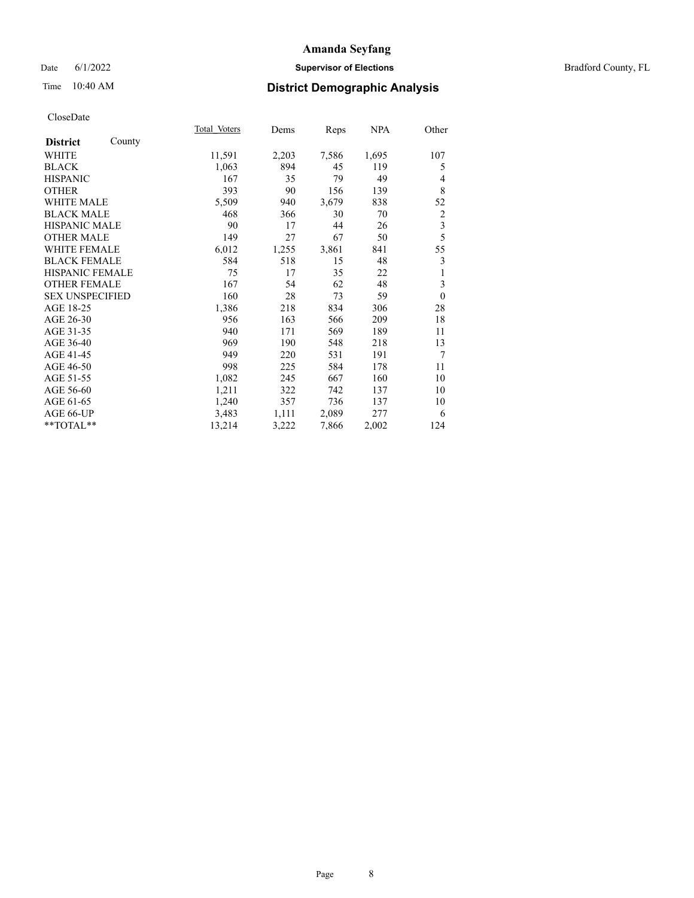#### Date 6/1/2022 **Supervisor of Elections Supervisor of Elections** Bradford County, FL

|                        |        | Total Voters | Dems  | Reps  | NPA   | Other          |
|------------------------|--------|--------------|-------|-------|-------|----------------|
| <b>District</b>        | County |              |       |       |       |                |
| WHITE                  |        | 11,591       | 2,203 | 7,586 | 1,695 | 107            |
| <b>BLACK</b>           |        | 1,063        | 894   | 45    | 119   | 5              |
| <b>HISPANIC</b>        |        | 167          | 35    | 79    | 49    | 4              |
| <b>OTHER</b>           |        | 393          | 90    | 156   | 139   | 8              |
| <b>WHITE MALE</b>      |        | 5,509        | 940   | 3,679 | 838   | 52             |
| <b>BLACK MALE</b>      |        | 468          | 366   | 30    | 70    | $\overline{2}$ |
| <b>HISPANIC MALE</b>   |        | 90           | 17    | 44    | 26    | $\mathfrak{Z}$ |
| <b>OTHER MALE</b>      |        | 149          | 27    | 67    | 50    | 5              |
| <b>WHITE FEMALE</b>    |        | 6,012        | 1,255 | 3,861 | 841   | 55             |
| <b>BLACK FEMALE</b>    |        | 584          | 518   | 15    | 48    | 3              |
| HISPANIC FEMALE        |        | 75           | 17    | 35    | 22    | 1              |
| <b>OTHER FEMALE</b>    |        | 167          | 54    | 62    | 48    | 3              |
| <b>SEX UNSPECIFIED</b> |        | 160          | 28    | 73    | 59    | $\theta$       |
| AGE 18-25              |        | 1,386        | 218   | 834   | 306   | 28             |
| AGE 26-30              |        | 956          | 163   | 566   | 209   | 18             |
| AGE 31-35              |        | 940          | 171   | 569   | 189   | 11             |
| AGE 36-40              |        | 969          | 190   | 548   | 218   | 13             |
| AGE 41-45              |        | 949          | 220   | 531   | 191   | 7              |
| AGE 46-50              |        | 998          | 225   | 584   | 178   | 11             |
| AGE 51-55              |        | 1,082        | 245   | 667   | 160   | 10             |
| AGE 56-60              |        | 1,211        | 322   | 742   | 137   | 10             |
| AGE 61-65              |        | 1,240        | 357   | 736   | 137   | 10             |
| AGE 66-UP              |        | 3,483        | 1,111 | 2,089 | 277   | 6              |
| $*$ $TOTAL**$          |        | 13,214       | 3,222 | 7,866 | 2,002 | 124            |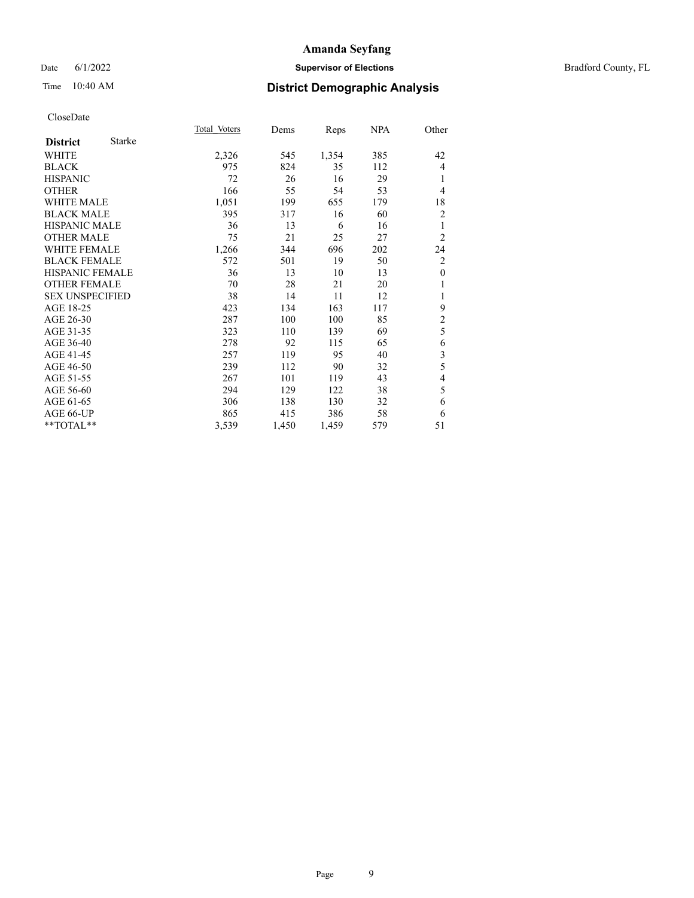## Date 6/1/2022 **Supervisor of Elections** Bradford County, FL

| CloseDate |
|-----------|
|-----------|

|                        |               | Total Voters | Dems  | Reps  | NPA | Other          |
|------------------------|---------------|--------------|-------|-------|-----|----------------|
| <b>District</b>        | <b>Starke</b> |              |       |       |     |                |
| WHITE                  |               | 2,326        | 545   | 1,354 | 385 | 42             |
| <b>BLACK</b>           |               | 975          | 824   | 35    | 112 | 4              |
| <b>HISPANIC</b>        |               | 72           | 26    | 16    | 29  | 1              |
| <b>OTHER</b>           |               | 166          | 55    | 54    | 53  | 4              |
| WHITE MALE             |               | 1,051        | 199   | 655   | 179 | 18             |
| <b>BLACK MALE</b>      |               | 395          | 317   | 16    | 60  | $\overline{2}$ |
| <b>HISPANIC MALE</b>   |               | 36           | 13    | 6     | 16  | 1              |
| <b>OTHER MALE</b>      |               | 75           | 21    | 25    | 27  | $\overline{2}$ |
| <b>WHITE FEMALE</b>    |               | 1,266        | 344   | 696   | 202 | 24             |
| <b>BLACK FEMALE</b>    |               | 572          | 501   | 19    | 50  | $\overline{2}$ |
| <b>HISPANIC FEMALE</b> |               | 36           | 13    | 10    | 13  | $\mathbf{0}$   |
| <b>OTHER FEMALE</b>    |               | 70           | 28    | 21    | 20  | 1              |
| <b>SEX UNSPECIFIED</b> |               | 38           | 14    | 11    | 12  | 1              |
| AGE 18-25              |               | 423          | 134   | 163   | 117 | 9              |
| AGE 26-30              |               | 287          | 100   | 100   | 85  | $\overline{c}$ |
| AGE 31-35              |               | 323          | 110   | 139   | 69  | 5              |
| AGE 36-40              |               | 278          | 92    | 115   | 65  | 6              |
| AGE 41-45              |               | 257          | 119   | 95    | 40  | 3              |
| AGE 46-50              |               | 239          | 112   | 90    | 32  | 5              |
| AGE 51-55              |               | 267          | 101   | 119   | 43  | 4              |
| AGE 56-60              |               | 294          | 129   | 122   | 38  | 5              |
| AGE 61-65              |               | 306          | 138   | 130   | 32  | 6              |
| AGE 66-UP              |               | 865          | 415   | 386   | 58  | 6              |
| **TOTAL**              |               | 3,539        | 1,450 | 1,459 | 579 | 51             |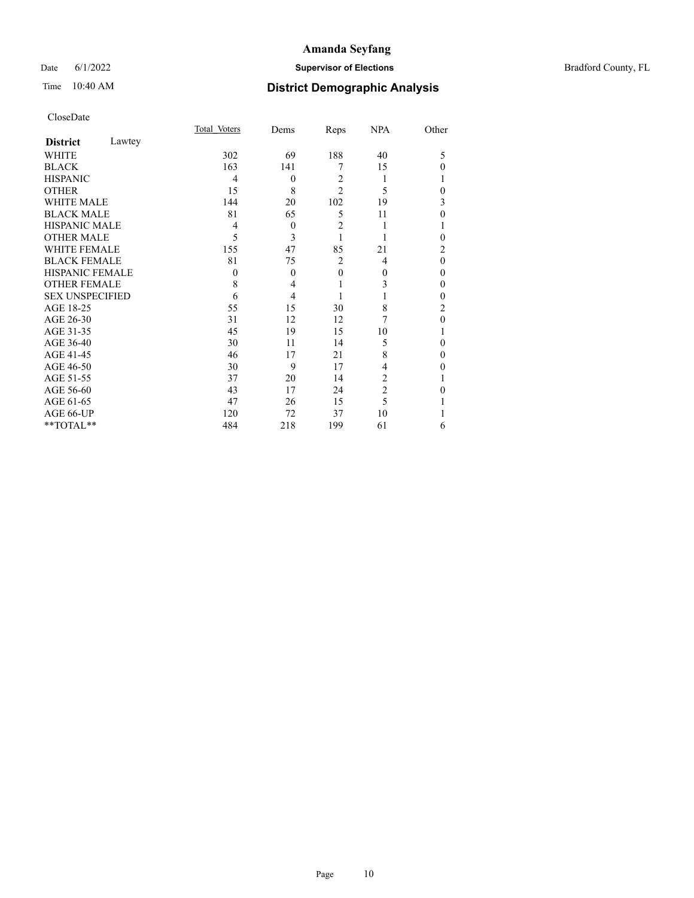#### Date 6/1/2022 **Supervisor of Elections Supervisor of Elections** Bradford County, FL

|                        |        | Total Voters | Dems     | Reps           | <b>NPA</b>     | Other    |
|------------------------|--------|--------------|----------|----------------|----------------|----------|
| <b>District</b>        | Lawtey |              |          |                |                |          |
| <b>WHITE</b>           |        | 302          | 69       | 188            | 40             | 5        |
| <b>BLACK</b>           |        | 163          | 141      | 7              | 15             | 0        |
| <b>HISPANIC</b>        |        | 4            | $\theta$ | $\overline{2}$ | 1              |          |
| <b>OTHER</b>           |        | 15           | 8        | $\overline{2}$ | 5              | $\theta$ |
| WHITE MALE             |        | 144          | 20       | 102            | 19             | 3        |
| <b>BLACK MALE</b>      |        | 81           | 65       | 5              | 11             | 0        |
| <b>HISPANIC MALE</b>   |        | 4            | $\theta$ | $\overline{2}$ | 1              |          |
| <b>OTHER MALE</b>      |        | 5            | 3        | 1              |                | 0        |
| WHITE FEMALE           |        | 155          | 47       | 85             | 21             | 2        |
| <b>BLACK FEMALE</b>    |        | 81           | 75       | $\overline{2}$ | 4              | $\theta$ |
| <b>HISPANIC FEMALE</b> |        | $\theta$     | $\theta$ | $\theta$       | $\theta$       | 0        |
| <b>OTHER FEMALE</b>    |        | 8            | 4        |                | 3              | 0        |
| <b>SEX UNSPECIFIED</b> |        | 6            | 4        |                |                | 0        |
| AGE 18-25              |        | 55           | 15       | 30             | 8              | 2        |
| AGE 26-30              |        | 31           | 12       | 12             | 7              | 0        |
| AGE 31-35              |        | 45           | 19       | 15             | 10             |          |
| AGE 36-40              |        | 30           | 11       | 14             | 5              | 0        |
| AGE 41-45              |        | 46           | 17       | 21             | 8              | 0        |
| AGE 46-50              |        | 30           | 9        | 17             | 4              | 0        |
| AGE 51-55              |        | 37           | 20       | 14             | 2              |          |
| AGE 56-60              |        | 43           | 17       | 24             | $\overline{2}$ | 0        |
| AGE 61-65              |        | 47           | 26       | 15             | 5              |          |
| AGE 66-UP              |        | 120          | 72       | 37             | 10             |          |
| **TOTAL**              |        | 484          | 218      | 199            | 61             | 6        |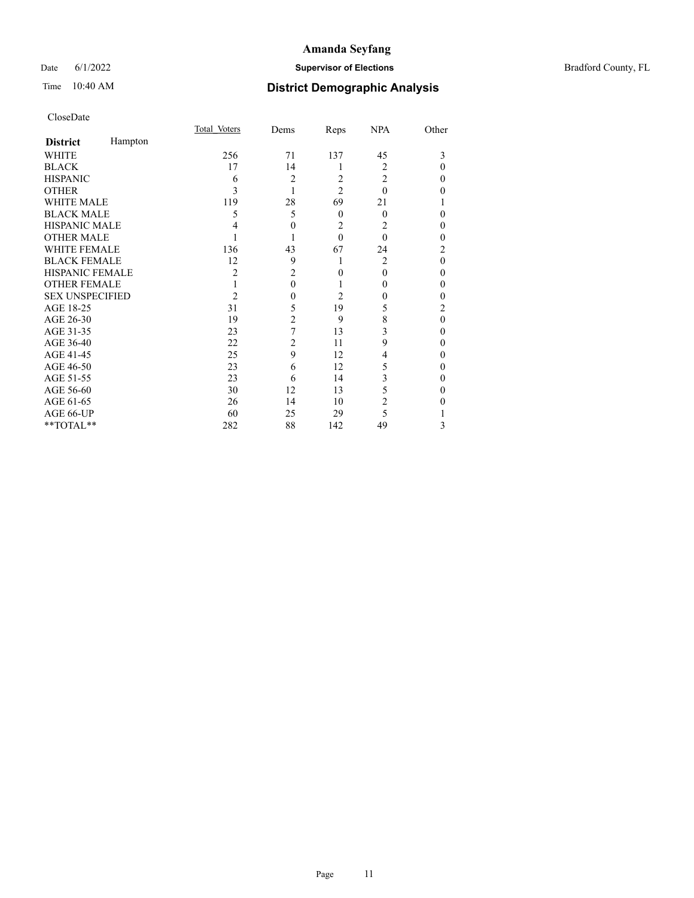## Date 6/1/2022 **Supervisor of Elections Supervisor of Elections** Bradford County, FL

## Time 10:40 AM **District Demographic Analysis**

|                        |         | Total Voters | Dems           | Reps             | <b>NPA</b>     | Other    |
|------------------------|---------|--------------|----------------|------------------|----------------|----------|
| <b>District</b>        | Hampton |              |                |                  |                |          |
| <b>WHITE</b>           |         | 256          | 71             | 137              | 45             | 3        |
| <b>BLACK</b>           |         | 17           | 14             | 1                | 2              | $\Omega$ |
| <b>HISPANIC</b>        |         | 6            | $\overline{2}$ | 2                | $\overline{2}$ | 0        |
| <b>OTHER</b>           |         | 3            | 1              | $\overline{2}$   | $\Omega$       | 0        |
| WHITE MALE             |         | 119          | 28             | 69               | 21             |          |
| <b>BLACK MALE</b>      |         | 5            | 5              | $\boldsymbol{0}$ | $\theta$       | $\theta$ |
| <b>HISPANIC MALE</b>   |         |              | $\mathbf{0}$   | 2                | 2              | 0        |
| <b>OTHER MALE</b>      |         |              |                | $\theta$         | $\Omega$       | 0        |
| <b>WHITE FEMALE</b>    |         | 136          | 43             | 67               | 24             | 2        |
| <b>BLACK FEMALE</b>    |         | 12           | 9              | 1                | $\overline{2}$ | $\theta$ |
| <b>HISPANIC FEMALE</b> |         | 2            | $\overline{2}$ | $\theta$         | $\theta$       | $\theta$ |
| <b>OTHER FEMALE</b>    |         |              | $\mathbf{0}$   | 1                | 0              | $\theta$ |
| <b>SEX UNSPECIFIED</b> |         | 2            | $\mathbf{0}$   | 2                | 0              | 0        |
| AGE 18-25              |         | 31           | 5              | 19               | 5              | 2        |
| AGE 26-30              |         | 19           | 2              | 9                | 8              | $\theta$ |
| AGE 31-35              |         | 23           | 7              | 13               | 3              | $\theta$ |
| AGE 36-40              |         | 22           | $\overline{2}$ | 11               | 9              | $\theta$ |
| AGE 41-45              |         | 25           | 9              | 12               | 4              | 0        |
| AGE 46-50              |         | 23           | 6              | 12               | 5              | $\theta$ |
| AGE 51-55              |         | 23           | 6              | 14               | 3              | $\theta$ |
| AGE 56-60              |         | 30           | 12             | 13               | 5              | $\theta$ |
| AGE 61-65              |         | 26           | 14             | 10               | 2              | 0        |
| AGE 66-UP              |         | 60           | 25             | 29               | 5              |          |
| **TOTAL**              |         | 282          | 88             | 142              | 49             | 3        |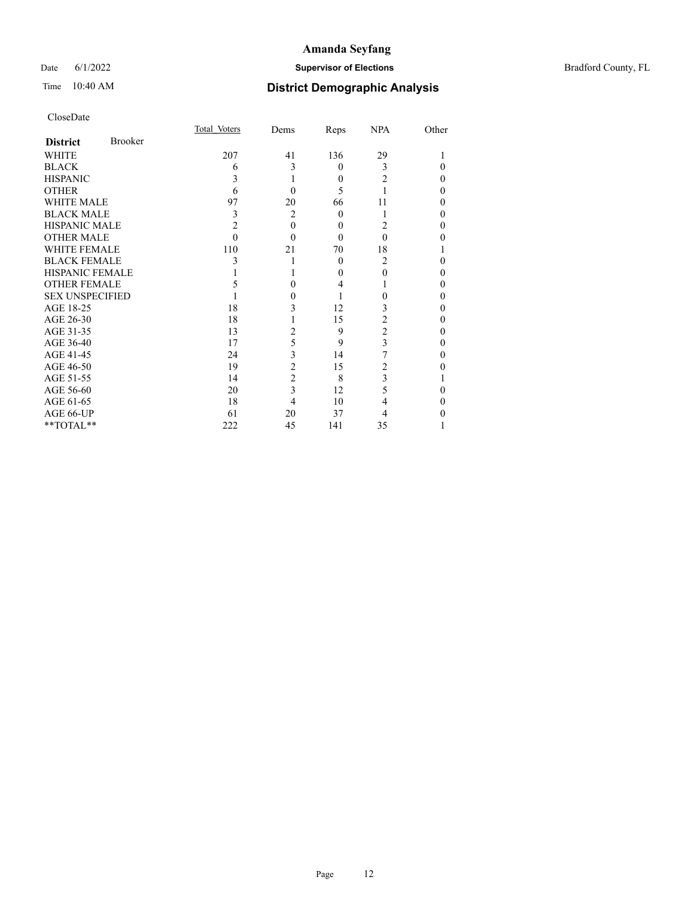## Date 6/1/2022 **Supervisor of Elections** Bradford County, FL

| CloseDate |
|-----------|
|-----------|

|                        |                | Total Voters | Dems           | Reps     | <b>NPA</b>     | Other |
|------------------------|----------------|--------------|----------------|----------|----------------|-------|
| <b>District</b>        | <b>Brooker</b> |              |                |          |                |       |
| WHITE                  |                | 207          | 41             | 136      | 29             |       |
| <b>BLACK</b>           |                | 6            | 3              | $\theta$ | 3              | 0     |
| <b>HISPANIC</b>        |                | 3            | 1              | $\theta$ | 2              | 0     |
| <b>OTHER</b>           |                | 6            | 0              | 5        |                | 0     |
| <b>WHITE MALE</b>      |                | 97           | 20             | 66       | 11             | 0     |
| <b>BLACK MALE</b>      |                | 3            | $\overline{2}$ | $\theta$ |                | 0     |
| <b>HISPANIC MALE</b>   |                | 2            | $\theta$       | $\theta$ | 2              | 0     |
| <b>OTHER MALE</b>      |                | 0            | $\Omega$       | $\theta$ | 0              | 0     |
| WHITE FEMALE           |                | 110          | 21             | 70       | 18             |       |
| <b>BLACK FEMALE</b>    |                | 3            |                | $\theta$ | $\overline{c}$ | 0     |
| <b>HISPANIC FEMALE</b> |                |              |                | $\theta$ | 0              | 0     |
| <b>OTHER FEMALE</b>    |                |              | $\Omega$       | 4        |                | 0     |
| <b>SEX UNSPECIFIED</b> |                |              | 0              |          |                | 0     |
| AGE 18-25              |                | 18           | 3              | 12       | 3              | 0     |
| AGE 26-30              |                | 18           |                | 15       | 2              | 0     |
| AGE 31-35              |                | 13           | $\overline{2}$ | 9        | $\overline{2}$ | 0     |
| AGE 36-40              |                | 17           | 5              | 9        | 3              | 0     |
| AGE 41-45              |                | 24           | 3              | 14       |                | 0     |
| AGE 46-50              |                | 19           | $\overline{2}$ | 15       | 2              | 0     |
| AGE 51-55              |                | 14           | $\overline{c}$ | 8        | 3              |       |
| AGE 56-60              |                | 20           | $\overline{3}$ | 12       | 5              | 0     |
| AGE 61-65              |                | 18           | 4              | 10       | 4              | 0     |
| AGE 66-UP              |                | 61           | 20             | 37       | 4              | 0     |
| **TOTAL**              |                | 222          | 45             | 141      | 35             |       |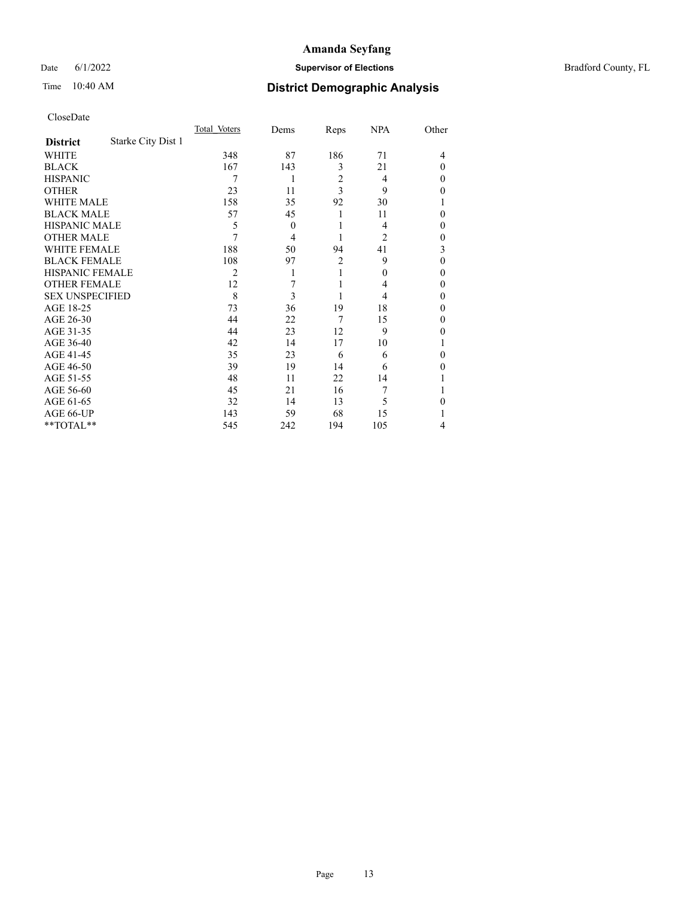## Date 6/1/2022 **Supervisor of Elections** Bradford County, FL

## Time 10:40 AM **District Demographic Analysis**

|                        |                    | Total Voters | Dems         | Reps           | <b>NPA</b> | Other    |
|------------------------|--------------------|--------------|--------------|----------------|------------|----------|
| <b>District</b>        | Starke City Dist 1 |              |              |                |            |          |
| WHITE                  |                    | 348          | 87           | 186            | 71         | 4        |
| <b>BLACK</b>           |                    | 167          | 143          | 3              | 21         | $\Omega$ |
| <b>HISPANIC</b>        |                    | 7            | 1            | 2              | 4          | $\Omega$ |
| <b>OTHER</b>           |                    | 23           | 11           | 3              | 9          | $\theta$ |
| WHITE MALE             |                    | 158          | 35           | 92             | 30         |          |
| <b>BLACK MALE</b>      |                    | 57           | 45           | 1              | 11         | $\theta$ |
| <b>HISPANIC MALE</b>   |                    | 5            | $\mathbf{0}$ | 1              | 4          | 0        |
| <b>OTHER MALE</b>      |                    | 7            | 4            | 1              | 2          | $\theta$ |
| <b>WHITE FEMALE</b>    |                    | 188          | 50           | 94             | 41         | 3        |
| <b>BLACK FEMALE</b>    |                    | 108          | 97           | $\overline{2}$ | 9          | $\Omega$ |
| <b>HISPANIC FEMALE</b> |                    | 2            | 1            |                | 0          | $\theta$ |
| <b>OTHER FEMALE</b>    |                    | 12           | 7            |                | 4          | $\theta$ |
| <b>SEX UNSPECIFIED</b> |                    | 8            | 3            |                | 4          | $\theta$ |
| AGE 18-25              |                    | 73           | 36           | 19             | 18         | $\theta$ |
| AGE 26-30              |                    | 44           | 22           | 7              | 15         | $\theta$ |
| AGE 31-35              |                    | 44           | 23           | 12             | 9          | 0        |
| AGE 36-40              |                    | 42           | 14           | 17             | 10         |          |
| AGE 41-45              |                    | 35           | 23           | 6              | 6          | 0        |
| AGE 46-50              |                    | 39           | 19           | 14             | 6          | $\theta$ |
| AGE 51-55              |                    | 48           | 11           | 22             | 14         |          |
| AGE 56-60              |                    | 45           | 21           | 16             | 7          |          |
| AGE 61-65              |                    | 32           | 14           | 13             | 5          | 0        |
| AGE 66-UP              |                    | 143          | 59           | 68             | 15         |          |
| **TOTAL**              |                    | 545          | 242          | 194            | 105        | 4        |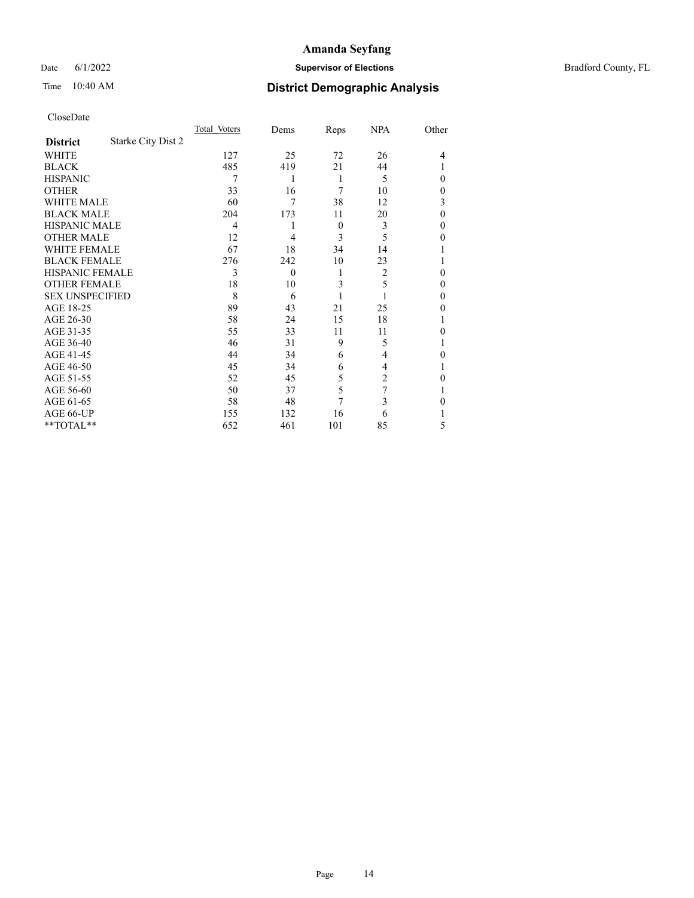Date 6/1/2022 **Supervisor of Elections Supervisor of Elections** Bradford County, FL

# Time 10:40 AM **District Demographic Analysis**

|                        |                           | Total Voters | Dems     | Reps     | <b>NPA</b>     | Other  |
|------------------------|---------------------------|--------------|----------|----------|----------------|--------|
| <b>District</b>        | <b>Starke City Dist 2</b> |              |          |          |                |        |
| WHITE                  |                           | 127          | 25       | 72       | 26             | 4      |
| <b>BLACK</b>           |                           | 485          | 419      | 21       | 44             |        |
| <b>HISPANIC</b>        |                           | 7            | 1        | 1        | 5              | 0      |
| <b>OTHER</b>           |                           | 33           | 16       | 7        | 10             | 0      |
| WHITE MALE             |                           | 60           | 7        | 38       | 12             | 3      |
| <b>BLACK MALE</b>      |                           | 204          | 173      | 11       | 20             | 0      |
| <b>HISPANIC MALE</b>   |                           | 4            |          | $\theta$ | 3              | 0      |
| <b>OTHER MALE</b>      |                           | 12           | 4        | 3        | 5              | 0      |
| WHITE FEMALE           |                           | 67           | 18       | 34       | 14             |        |
| <b>BLACK FEMALE</b>    |                           | 276          | 242      | 10       | 23             |        |
| <b>HISPANIC FEMALE</b> |                           | 3            | $\theta$ | 1        | $\overline{2}$ | 0      |
| <b>OTHER FEMALE</b>    |                           | 18           | 10       | 3        | 5              | 0      |
| <b>SEX UNSPECIFIED</b> |                           | 8            | 6        |          |                | $_{0}$ |
| AGE 18-25              |                           | 89           | 43       | 21       | 25             | 0      |
| AGE 26-30              |                           | 58           | 24       | 15       | 18             |        |
| AGE 31-35              |                           | 55           | 33       | 11       | 11             | 0      |
| AGE 36-40              |                           | 46           | 31       | 9        | 5              |        |
| AGE 41-45              |                           | 44           | 34       | 6        | 4              | 0      |
| AGE 46-50              |                           | 45           | 34       | 6        | 4              |        |
| AGE 51-55              |                           | 52           | 45       | 5        | $\overline{c}$ | 0      |
| AGE 56-60              |                           | 50           | 37       | 5        | 7              |        |
| AGE 61-65              |                           | 58           | 48       | 7        | 3              | 0      |
| AGE 66-UP              |                           | 155          | 132      | 16       | 6              |        |
| **TOTAL**              |                           | 652          | 461      | 101      | 85             | 5      |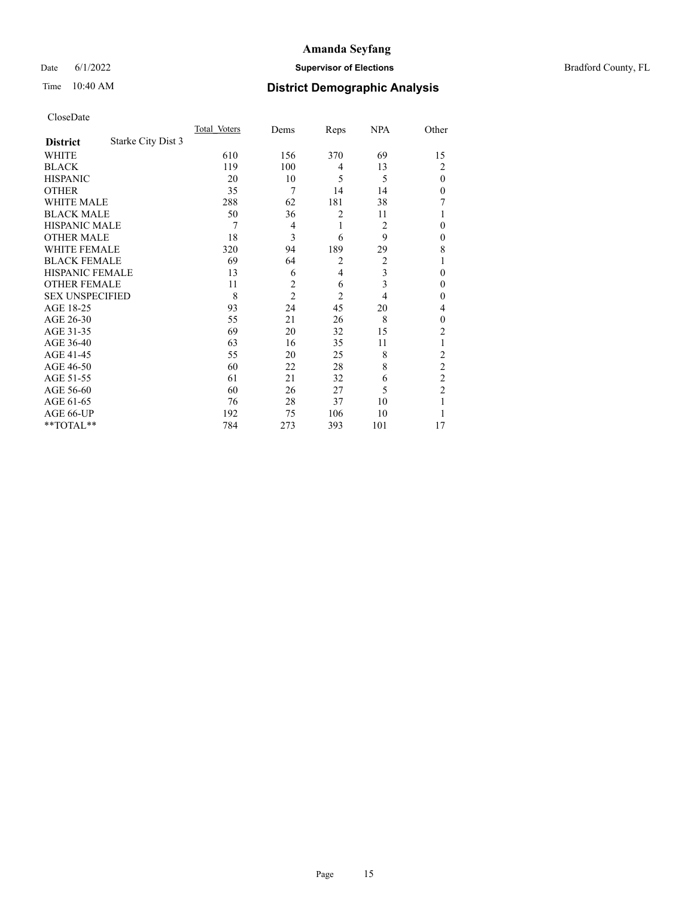## Date 6/1/2022 **Supervisor of Elections Supervisor of Elections** Bradford County, FL

## Time 10:40 AM **District Demographic Analysis**

|                        |                    | Total Voters | Dems           | Reps           | <b>NPA</b> | Other          |
|------------------------|--------------------|--------------|----------------|----------------|------------|----------------|
| <b>District</b>        | Starke City Dist 3 |              |                |                |            |                |
| WHITE                  |                    | 610          | 156            | 370            | 69         | 15             |
| <b>BLACK</b>           |                    | 119          | 100            | 4              | 13         | $\overline{c}$ |
| <b>HISPANIC</b>        |                    | 20           | 10             | 5              | 5          | $\theta$       |
| <b>OTHER</b>           |                    | 35           | 7              | 14             | 14         | 0              |
| <b>WHITE MALE</b>      |                    | 288          | 62             | 181            | 38         | 7              |
| <b>BLACK MALE</b>      |                    | 50           | 36             | $\overline{2}$ | 11         |                |
| <b>HISPANIC MALE</b>   |                    | 7            | $\overline{4}$ | 1              | 2          | 0              |
| <b>OTHER MALE</b>      |                    | 18           | 3              | 6              | 9          | 0              |
| WHITE FEMALE           |                    | 320          | 94             | 189            | 29         | 8              |
| <b>BLACK FEMALE</b>    |                    | 69           | 64             | $\overline{2}$ | 2          | 1              |
| <b>HISPANIC FEMALE</b> |                    | 13           | 6              | 4              | 3          | 0              |
| <b>OTHER FEMALE</b>    |                    | 11           | $\overline{2}$ | 6              | 3          | $\theta$       |
| <b>SEX UNSPECIFIED</b> |                    | 8            | $\overline{2}$ | $\overline{2}$ | 4          | 0              |
| AGE 18-25              |                    | 93           | 24             | 45             | 20         | 4              |
| AGE 26-30              |                    | 55           | 21             | 26             | 8          | $\theta$       |
| AGE 31-35              |                    | 69           | 20             | 32             | 15         | $\overline{2}$ |
| AGE 36-40              |                    | 63           | 16             | 35             | 11         | 1              |
| AGE 41-45              |                    | 55           | 20             | 25             | 8          | $\overline{2}$ |
| AGE 46-50              |                    | 60           | 22             | 28             | 8          | $\overline{c}$ |
| AGE 51-55              |                    | 61           | 21             | 32             | 6          | $\overline{2}$ |
| AGE 56-60              |                    | 60           | 26             | 27             | 5          | $\overline{2}$ |
| AGE 61-65              |                    | 76           | 28             | 37             | 10         | 1              |
| AGE 66-UP              |                    | 192          | 75             | 106            | 10         |                |
| $*$ $TOTAL**$          |                    | 784          | 273            | 393            | 101        | 17             |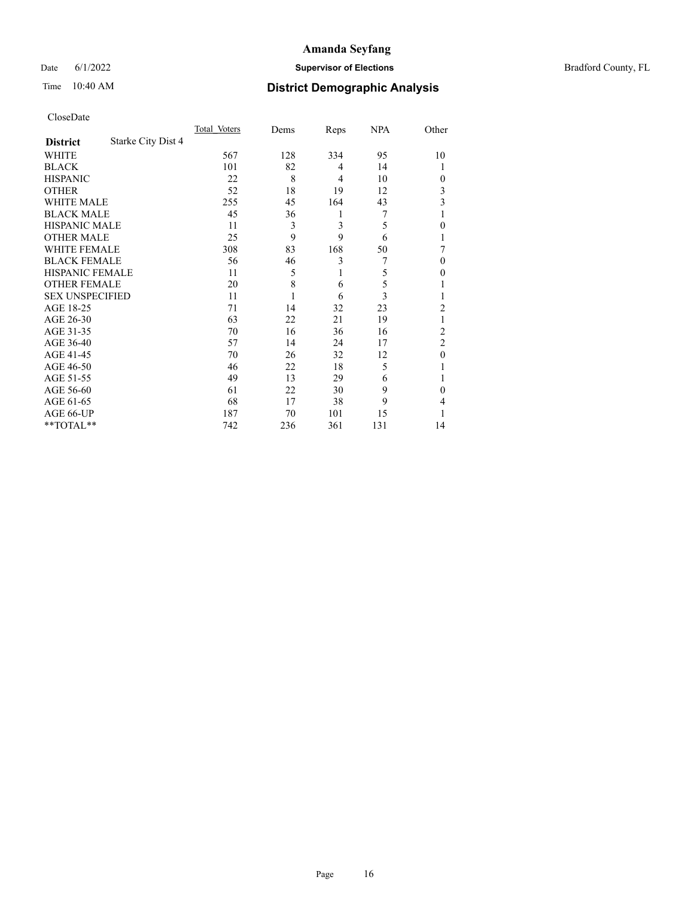## Date 6/1/2022 **Supervisor of Elections Supervisor of Elections** Bradford County, FL

## Time 10:40 AM **District Demographic Analysis**

|                        |                    | Total Voters | Dems | Reps | <b>NPA</b> | Other          |
|------------------------|--------------------|--------------|------|------|------------|----------------|
| <b>District</b>        | Starke City Dist 4 |              |      |      |            |                |
| WHITE                  |                    | 567          | 128  | 334  | 95         | 10             |
| <b>BLACK</b>           |                    | 101          | 82   | 4    | 14         |                |
| <b>HISPANIC</b>        |                    | 22           | 8    | 4    | 10         | $\theta$       |
| <b>OTHER</b>           |                    | 52           | 18   | 19   | 12         | 3              |
| WHITE MALE             |                    | 255          | 45   | 164  | 43         | 3              |
| <b>BLACK MALE</b>      |                    | 45           | 36   | 1    | 7          |                |
| <b>HISPANIC MALE</b>   |                    | 11           | 3    | 3    | 5          | $\theta$       |
| <b>OTHER MALE</b>      |                    | 25           | 9    | 9    | 6          |                |
| WHITE FEMALE           |                    | 308          | 83   | 168  | 50         |                |
| <b>BLACK FEMALE</b>    |                    | 56           | 46   | 3    | 7          | $\Omega$       |
| <b>HISPANIC FEMALE</b> |                    | 11           | 5    | 1    | 5          | $\theta$       |
| <b>OTHER FEMALE</b>    |                    | 20           | 8    | 6    | 5          |                |
| <b>SEX UNSPECIFIED</b> |                    | 11           |      | 6    | 3          |                |
| AGE 18-25              |                    | 71           | 14   | 32   | 23         | $\overline{2}$ |
| AGE 26-30              |                    | 63           | 22   | 21   | 19         | 1              |
| AGE 31-35              |                    | 70           | 16   | 36   | 16         | $\overline{2}$ |
| AGE 36-40              |                    | 57           | 14   | 24   | 17         | $\overline{2}$ |
| AGE 41-45              |                    | 70           | 26   | 32   | 12         | $\overline{0}$ |
| AGE 46-50              |                    | 46           | 22   | 18   | 5          |                |
| AGE 51-55              |                    | 49           | 13   | 29   | 6          |                |
| AGE 56-60              |                    | 61           | 22   | 30   | 9          | $\Omega$       |
| AGE 61-65              |                    | 68           | 17   | 38   | 9          | 4              |
| AGE 66-UP              |                    | 187          | 70   | 101  | 15         |                |
| $*$ $TOTAL**$          |                    | 742          | 236  | 361  | 131        | 14             |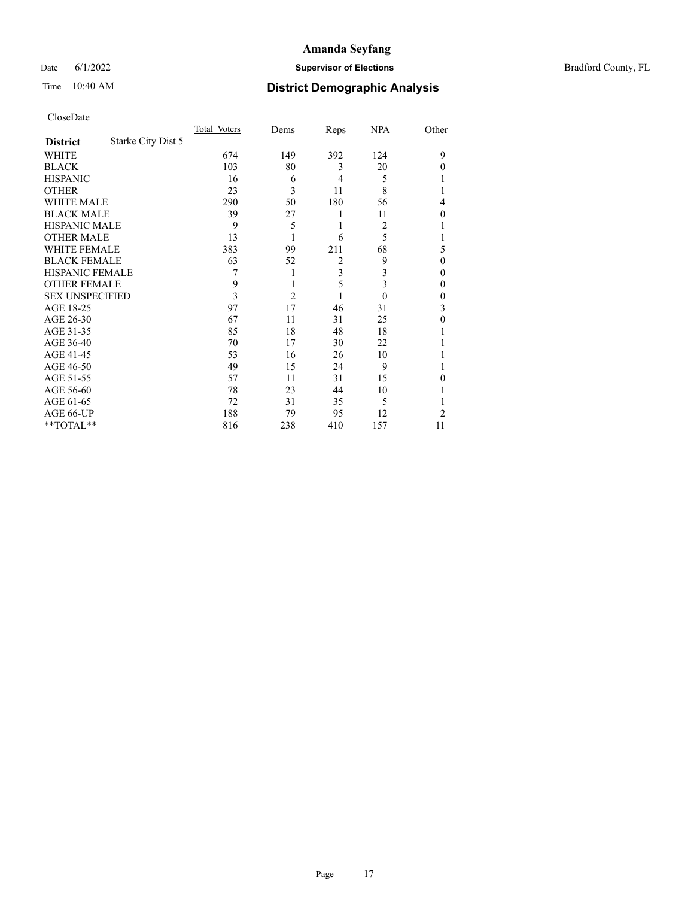## Date 6/1/2022 **Supervisor of Elections Supervisor of Elections** Bradford County, FL

## Time 10:40 AM **District Demographic Analysis**

|                        |                    | Total Voters | Dems           | Reps           | <b>NPA</b>     | Other |
|------------------------|--------------------|--------------|----------------|----------------|----------------|-------|
| <b>District</b>        | Starke City Dist 5 |              |                |                |                |       |
| WHITE                  |                    | 674          | 149            | 392            | 124            | 9     |
| <b>BLACK</b>           |                    | 103          | 80             | 3              | 20             | 0     |
| <b>HISPANIC</b>        |                    | 16           | 6              | 4              | 5              |       |
| <b>OTHER</b>           |                    | 23           | 3              | 11             | 8              |       |
| WHITE MALE             |                    | 290          | 50             | 180            | 56             | 4     |
| <b>BLACK MALE</b>      |                    | 39           | 27             | 1              | 11             | 0     |
| <b>HISPANIC MALE</b>   |                    | 9            | 5              | 1              | $\overline{2}$ |       |
| <b>OTHER MALE</b>      |                    | 13           | 1              | 6              | 5              |       |
| WHITE FEMALE           |                    | 383          | 99             | 211            | 68             | 5     |
| <b>BLACK FEMALE</b>    |                    | 63           | 52             | $\overline{c}$ | 9              | 0     |
| <b>HISPANIC FEMALE</b> |                    | 7            | 1              | 3              | 3              | 0     |
| <b>OTHER FEMALE</b>    |                    | 9            | 1              | 5              | 3              | 0     |
| <b>SEX UNSPECIFIED</b> |                    | 3            | $\overline{2}$ |                | $\theta$       | 0     |
| AGE 18-25              |                    | 97           | 17             | 46             | 31             | 3     |
| AGE 26-30              |                    | 67           | 11             | 31             | 25             | 0     |
| AGE 31-35              |                    | 85           | 18             | 48             | 18             |       |
| AGE 36-40              |                    | 70           | 17             | 30             | 22             |       |
| AGE 41-45              |                    | 53           | 16             | 26             | 10             |       |
| AGE 46-50              |                    | 49           | 15             | 24             | 9              |       |
| AGE 51-55              |                    | 57           | 11             | 31             | 15             | 0     |
| AGE 56-60              |                    | 78           | 23             | 44             | 10             |       |
| AGE 61-65              |                    | 72           | 31             | 35             | 5              |       |
| AGE 66-UP              |                    | 188          | 79             | 95             | 12             | 2     |
| $*$ $TOTAL**$          |                    | 816          | 238            | 410            | 157            | 11    |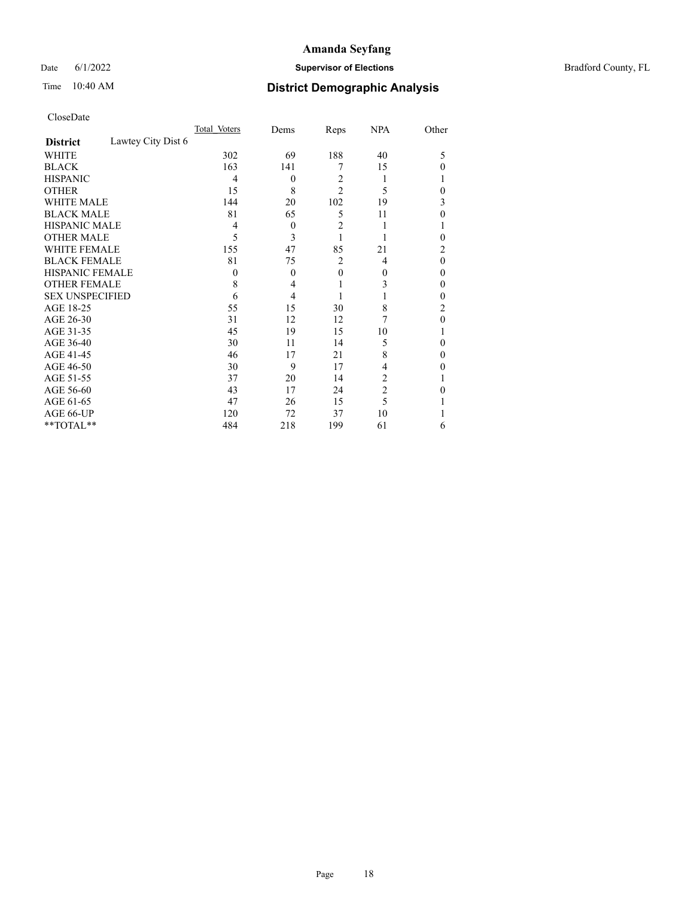## Date 6/1/2022 **Supervisor of Elections Supervisor of Elections** Bradford County, FL

## Time 10:40 AM **District Demographic Analysis**

|                        |                    | Total Voters | Dems           | Reps           | <b>NPA</b>     | Other    |
|------------------------|--------------------|--------------|----------------|----------------|----------------|----------|
| <b>District</b>        | Lawtey City Dist 6 |              |                |                |                |          |
| <b>WHITE</b>           |                    | 302          | 69             | 188            | 40             | 5        |
| <b>BLACK</b>           |                    | 163          | 141            | 7              | 15             | $\Omega$ |
| <b>HISPANIC</b>        |                    | 4            | $\mathbf{0}$   | $\overline{2}$ |                |          |
| <b>OTHER</b>           |                    | 15           | 8              | $\overline{2}$ | 5              | $\Omega$ |
| WHITE MALE             |                    | 144          | 20             | 102            | 19             | 3        |
| <b>BLACK MALE</b>      |                    | 81           | 65             | 5              | 11             | $\theta$ |
| <b>HISPANIC MALE</b>   |                    | 4            | $\theta$       | 2              |                |          |
| <b>OTHER MALE</b>      |                    | 5            | 3              |                |                | $\theta$ |
| WHITE FEMALE           |                    | 155          | 47             | 85             | 21             | 2        |
| <b>BLACK FEMALE</b>    |                    | 81           | 75             | 2              | 4              | $\theta$ |
| <b>HISPANIC FEMALE</b> |                    | $\theta$     | $\theta$       | $\theta$       | $\theta$       | $\theta$ |
| <b>OTHER FEMALE</b>    |                    | 8            | 4              | 1              | 3              | $\theta$ |
| <b>SEX UNSPECIFIED</b> |                    | 6            | $\overline{4}$ |                |                | $\theta$ |
| AGE 18-25              |                    | 55           | 15             | 30             | 8              | 2        |
| AGE 26-30              |                    | 31           | 12             | 12             | 7              | $\theta$ |
| AGE 31-35              |                    | 45           | 19             | 15             | 10             |          |
| AGE 36-40              |                    | 30           | 11             | 14             | 5              | $\theta$ |
| AGE 41-45              |                    | 46           | 17             | 21             | 8              | $\theta$ |
| AGE 46-50              |                    | 30           | 9              | 17             | 4              | 0        |
| AGE 51-55              |                    | 37           | 20             | 14             | 2              |          |
| AGE 56-60              |                    | 43           | 17             | 24             | $\overline{2}$ | 0        |
| AGE 61-65              |                    | 47           | 26             | 15             | 5              |          |
| AGE 66-UP              |                    | 120          | 72             | 37             | 10             |          |
| **TOTAL**              |                    | 484          | 218            | 199            | 61             | 6        |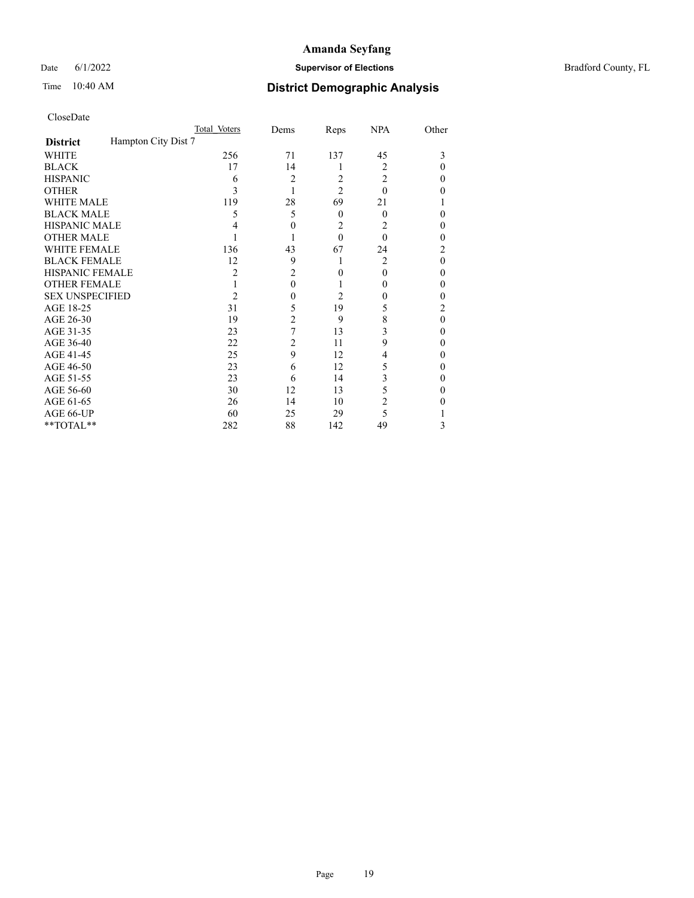Date 6/1/2022 **Supervisor of Elections Supervisor of Elections** Bradford County, FL

|                        |                     | Total Voters   | Dems           | Reps           | <b>NPA</b>     | Other |
|------------------------|---------------------|----------------|----------------|----------------|----------------|-------|
| <b>District</b>        | Hampton City Dist 7 |                |                |                |                |       |
| WHITE                  |                     | 256            | 71             | 137            | 45             | 3     |
| <b>BLACK</b>           |                     | 17             | 14             | 1              | $\overline{2}$ | 0     |
| <b>HISPANIC</b>        |                     | 6              | 2              | 2              | $\overline{2}$ | 0     |
| <b>OTHER</b>           |                     | 3              |                | $\overline{2}$ | $\theta$       | 0     |
| WHITE MALE             |                     | 119            | 28             | 69             | 21             |       |
| <b>BLACK MALE</b>      |                     | 5              | 5              | $\Omega$       | $\Omega$       | 0     |
| <b>HISPANIC MALE</b>   |                     |                | $\theta$       | 2              | 2              | 0     |
| <b>OTHER MALE</b>      |                     |                |                | $\theta$       | $\Omega$       | 0     |
| <b>WHITE FEMALE</b>    |                     | 136            | 43             | 67             | 24             | 2     |
| <b>BLACK FEMALE</b>    |                     | 12             | 9              | 1              | $\overline{2}$ | 0     |
| HISPANIC FEMALE        |                     | $\overline{2}$ | $\overline{2}$ | $\Omega$       | $\theta$       | 0     |
| <b>OTHER FEMALE</b>    |                     |                | $\theta$       |                | $\theta$       | 0     |
| <b>SEX UNSPECIFIED</b> |                     | 2              | 0              | 2              | $\theta$       | 0     |
| AGE 18-25              |                     | 31             | 5              | 19             | 5              | 2     |
| AGE 26-30              |                     | 19             | $\overline{2}$ | 9              | 8              | 0     |
| AGE 31-35              |                     | 23             | 7              | 13             | 3              | 0     |
| AGE 36-40              |                     | 22             | 2              | 11             | 9              | 0     |
| AGE 41-45              |                     | 25             | 9              | 12             | 4              | 0     |
| AGE 46-50              |                     | 23             | 6              | 12             | 5              | 0     |
| AGE 51-55              |                     | 23             | 6              | 14             | 3              | 0     |
| AGE 56-60              |                     | 30             | 12             | 13             | 5              | 0     |
| AGE 61-65              |                     | 26             | 14             | 10             | 2              | 0     |
| AGE 66-UP              |                     | 60             | 25             | 29             | 5              |       |
| **TOTAL**              |                     | 282            | 88             | 142            | 49             | 3     |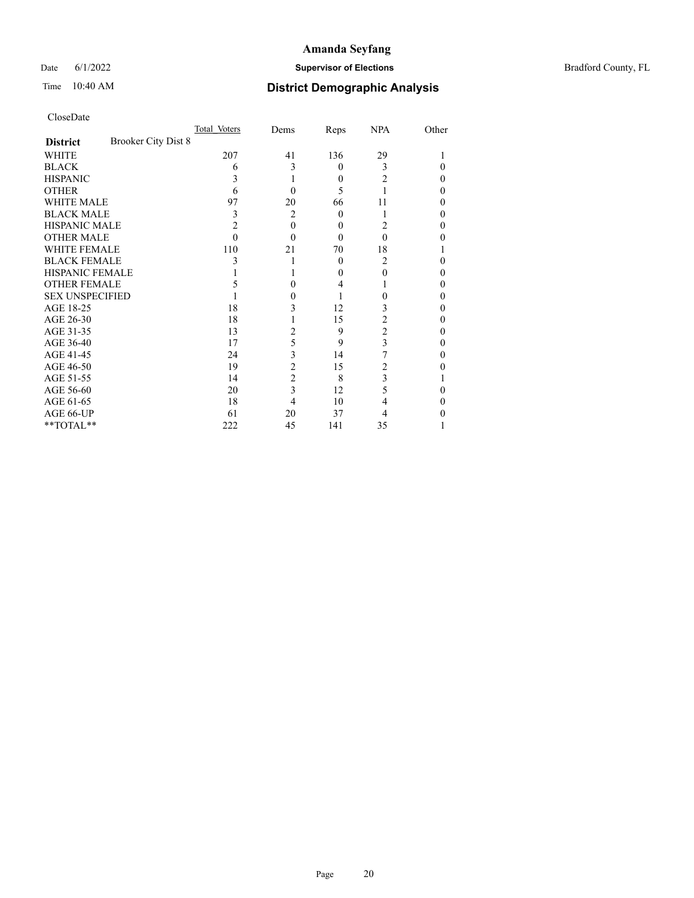Date 6/1/2022 **Supervisor of Elections Supervisor of Elections** Bradford County, FL

| CloseDate |
|-----------|
|-----------|

|                        | Total Voters               | Dems           | Reps     | <b>NPA</b>     | Other |
|------------------------|----------------------------|----------------|----------|----------------|-------|
| <b>District</b>        | <b>Brooker City Dist 8</b> |                |          |                |       |
| WHITE                  | 207                        | 41             | 136      | 29             |       |
| <b>BLACK</b>           | 6                          | 3              | $\theta$ | 3              | 0     |
| <b>HISPANIC</b>        | 3                          |                | $\theta$ | 2              | 0     |
| <b>OTHER</b>           | 6                          | 0              | 5        |                | 0     |
| <b>WHITE MALE</b>      | 97                         | 20             | 66       | 11             |       |
| <b>BLACK MALE</b>      | 3                          | $\overline{2}$ | 0        |                | 0     |
| <b>HISPANIC MALE</b>   | 2                          | $\theta$       | 0        | 2              | 0     |
| <b>OTHER MALE</b>      | 0                          | 0              | 0        | 0              | 0     |
| <b>WHITE FEMALE</b>    | 110                        | 21             | 70       | 18             |       |
| <b>BLACK FEMALE</b>    | 3                          |                | $\theta$ | 2              | 0     |
| <b>HISPANIC FEMALE</b> |                            |                | 0        | 0              | 0     |
| <b>OTHER FEMALE</b>    |                            | 0              | 4        |                | 0     |
| <b>SEX UNSPECIFIED</b> |                            |                |          | 0              | 0     |
| AGE 18-25              | 18                         | 3              | 12       | 3              | 0     |
| AGE 26-30              | 18                         |                | 15       | 2              | 0     |
| AGE 31-35              | 13                         | 2              | 9        | $\overline{c}$ | 0     |
| AGE 36-40              | 17                         | 5              | 9        | 3              | 0     |
| AGE 41-45              | 24                         | 3              | 14       |                | 0     |
| AGE 46-50              | 19                         | 2              | 15       | 2              | 0     |
| AGE 51-55              | 14                         | 2              | 8        | 3              |       |
| AGE 56-60              | 20                         | 3              | 12       | 5              | 0     |
| AGE 61-65              | 18                         | 4              | 10       | 4              | 0     |
| AGE 66-UP              | 61                         | 20             | 37       | 4              |       |
| **TOTAL**              | 222                        | 45             | 141      | 35             |       |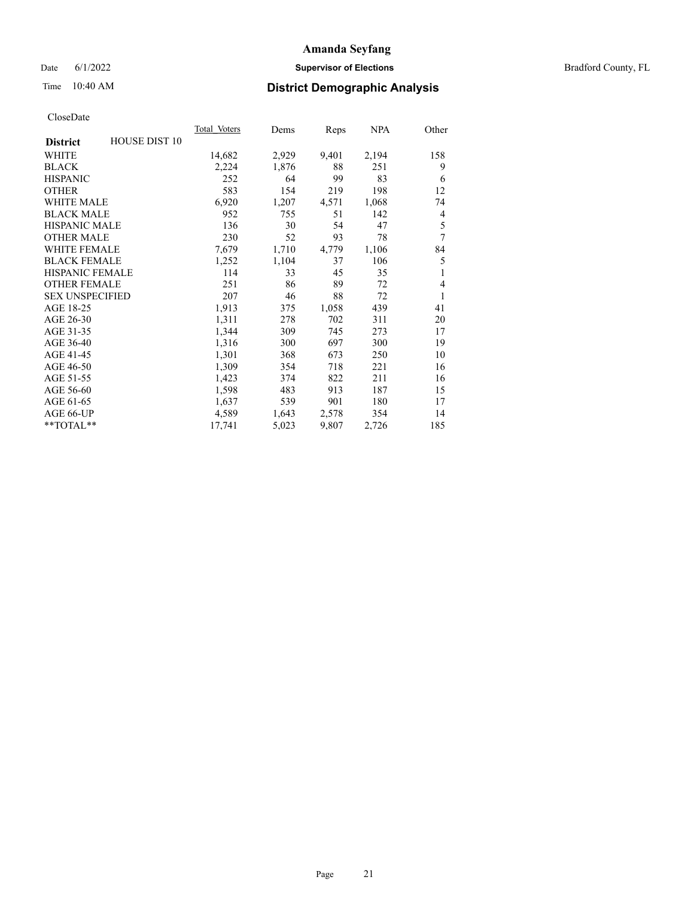Date 6/1/2022 **Supervisor of Elections** Bradford County, FL

# Time 10:40 AM **District Demographic Analysis**

|                        |                      | Total Voters | Dems  | Reps  | NPA   | Other |
|------------------------|----------------------|--------------|-------|-------|-------|-------|
| <b>District</b>        | <b>HOUSE DIST 10</b> |              |       |       |       |       |
| WHITE                  |                      | 14,682       | 2,929 | 9,401 | 2,194 | 158   |
| <b>BLACK</b>           |                      | 2,224        | 1,876 | 88    | 251   | 9     |
| <b>HISPANIC</b>        |                      | 252          | 64    | 99    | 83    | 6     |
| <b>OTHER</b>           |                      | 583          | 154   | 219   | 198   | 12    |
| WHITE MALE             |                      | 6,920        | 1,207 | 4,571 | 1,068 | 74    |
| <b>BLACK MALE</b>      |                      | 952          | 755   | 51    | 142   | 4     |
| <b>HISPANIC MALE</b>   |                      | 136          | 30    | 54    | 47    | 5     |
| <b>OTHER MALE</b>      |                      | 230          | 52    | 93    | 78    | 7     |
| <b>WHITE FEMALE</b>    |                      | 7,679        | 1,710 | 4,779 | 1,106 | 84    |
| <b>BLACK FEMALE</b>    |                      | 1,252        | 1,104 | 37    | 106   | 5     |
| <b>HISPANIC FEMALE</b> |                      | 114          | 33    | 45    | 35    | 1     |
| OTHER FEMALE           |                      | 251          | 86    | 89    | 72    | 4     |
| <b>SEX UNSPECIFIED</b> |                      | 207          | 46    | 88    | 72    | 1     |
| AGE 18-25              |                      | 1,913        | 375   | 1,058 | 439   | 41    |
| AGE 26-30              |                      | 1,311        | 278   | 702   | 311   | 20    |
| AGE 31-35              |                      | 1,344        | 309   | 745   | 273   | 17    |
| AGE 36-40              |                      | 1,316        | 300   | 697   | 300   | 19    |
| AGE 41-45              |                      | 1,301        | 368   | 673   | 250   | 10    |
| AGE 46-50              |                      | 1,309        | 354   | 718   | 221   | 16    |
| AGE 51-55              |                      | 1,423        | 374   | 822   | 211   | 16    |
| AGE 56-60              |                      | 1,598        | 483   | 913   | 187   | 15    |
| AGE 61-65              |                      | 1,637        | 539   | 901   | 180   | 17    |
| AGE 66-UP              |                      | 4,589        | 1,643 | 2,578 | 354   | 14    |
| **TOTAL**              |                      | 17,741       | 5,023 | 9,807 | 2,726 | 185   |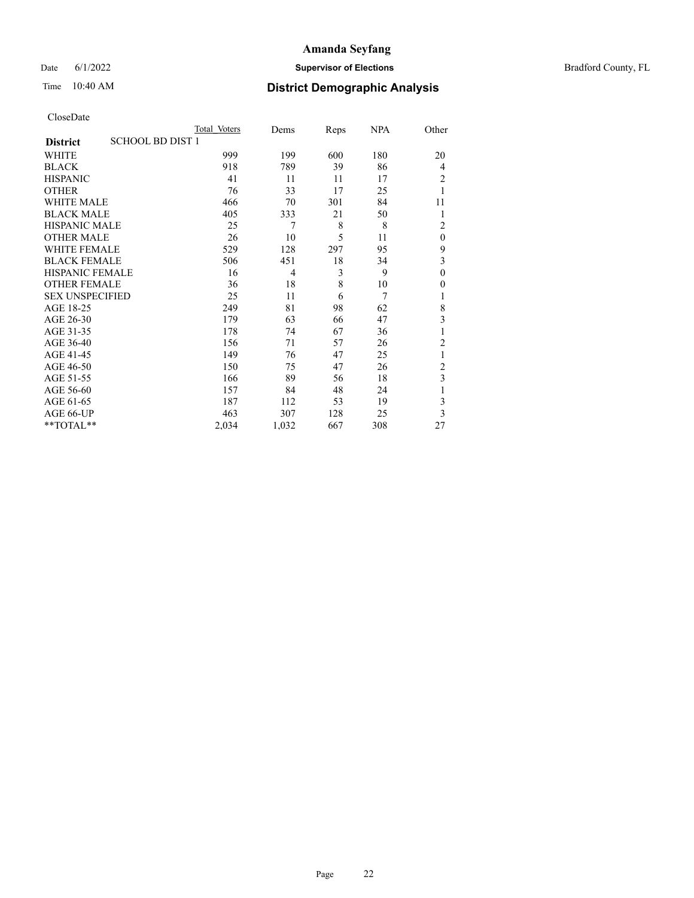Date 6/1/2022 **Supervisor of Elections Supervisor of Elections** Bradford County, FL

# Time 10:40 AM **District Demographic Analysis**

| Total Voters | Dems                    |     | <u>NPA</u> | Other          |
|--------------|-------------------------|-----|------------|----------------|
|              |                         |     |            |                |
| 999          | 199                     | 600 | 180        | 20             |
| 918          | 789                     | 39  | 86         | 4              |
| 41           | 11                      | 11  | 17         | $\overline{2}$ |
| 76           | 33                      | 17  | 25         | 1              |
| 466          | 70                      | 301 | 84         | 11             |
| 405          | 333                     | 21  | 50         | 1              |
| 25           | 7                       | 8   | 8          | $\overline{2}$ |
| 26           | 10                      | 5   | 11         | $\theta$       |
| 529          | 128                     | 297 | 95         | 9              |
| 506          | 451                     | 18  | 34         | 3              |
| 16           | 4                       | 3   | 9          | $\mathbf{0}$   |
| 36           | 18                      | 8   | 10         | 0              |
| 25           | 11                      | 6   | 7          | 1              |
| 249          | 81                      | 98  | 62         | 8              |
| 179          | 63                      | 66  | 47         | 3              |
| 178          | 74                      | 67  | 36         | 1              |
| 156          | 71                      | 57  | 26         | $\overline{2}$ |
| 149          | 76                      | 47  | 25         | 1              |
| 150          | 75                      | 47  | 26         | $\overline{c}$ |
| 166          | 89                      | 56  | 18         | 3              |
| 157          | 84                      | 48  | 24         | 1              |
| 187          | 112                     | 53  | 19         | 3              |
| 463          | 307                     | 128 | 25         | 3              |
| 2,034        | 1,032                   | 667 | 308        | 27             |
|              | <b>SCHOOL BD DIST 1</b> |     |            | Reps           |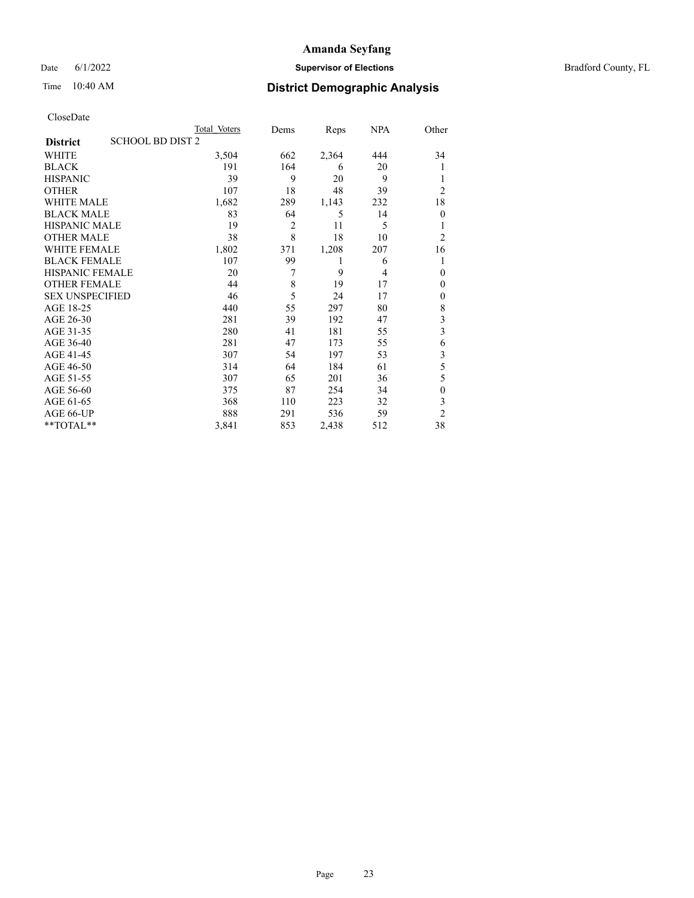Date 6/1/2022 **Supervisor of Elections Supervisor of Elections** Bradford County, FL

## Time 10:40 AM **District Demographic Analysis**

|                                            | Total Voters | Dems           | Reps  | NPA | Other                   |
|--------------------------------------------|--------------|----------------|-------|-----|-------------------------|
| <b>SCHOOL BD DIST 2</b><br><b>District</b> |              |                |       |     |                         |
| WHITE                                      | 3,504        | 662            | 2,364 | 444 | 34                      |
| <b>BLACK</b>                               | 191          | 164            | 6     | 20  |                         |
| <b>HISPANIC</b>                            | 39           | 9              | 20    | 9   | 1                       |
| <b>OTHER</b>                               | 107          | 18             | 48    | 39  | $\overline{2}$          |
| WHITE MALE                                 | 1,682        | 289            | 1,143 | 232 | 18                      |
| <b>BLACK MALE</b>                          | 83           | 64             | 5     | 14  | $\theta$                |
| <b>HISPANIC MALE</b>                       | 19           | $\overline{2}$ | 11    | 5   |                         |
| <b>OTHER MALE</b>                          | 38           | 8              | 18    | 10  | $\overline{2}$          |
| <b>WHITE FEMALE</b>                        | 1,802        | 371            | 1,208 | 207 | 16                      |
| <b>BLACK FEMALE</b>                        | 107          | 99             | 1     | 6   |                         |
| <b>HISPANIC FEMALE</b>                     | 20           | 7              | 9     | 4   | $\theta$                |
| <b>OTHER FEMALE</b>                        | 44           | 8              | 19    | 17  | $\theta$                |
| <b>SEX UNSPECIFIED</b>                     | 46           | 5              | 24    | 17  | $\mathbf{0}$            |
| AGE 18-25                                  | 440          | 55             | 297   | 80  | 8                       |
| AGE 26-30                                  | 281          | 39             | 192   | 47  | 3                       |
| AGE 31-35                                  | 280          | 41             | 181   | 55  | $\overline{\mathbf{3}}$ |
| AGE 36-40                                  | 281          | 47             | 173   | 55  | 6                       |
| AGE 41-45                                  | 307          | 54             | 197   | 53  | 3                       |
| AGE 46-50                                  | 314          | 64             | 184   | 61  | 5                       |
| AGE 51-55                                  | 307          | 65             | 201   | 36  | 5                       |
| AGE 56-60                                  | 375          | 87             | 254   | 34  | $\theta$                |
| AGE 61-65                                  | 368          | 110            | 223   | 32  | 3                       |
| AGE 66-UP                                  | 888          | 291            | 536   | 59  | $\overline{c}$          |
| **TOTAL**                                  | 3,841        | 853            | 2,438 | 512 | 38                      |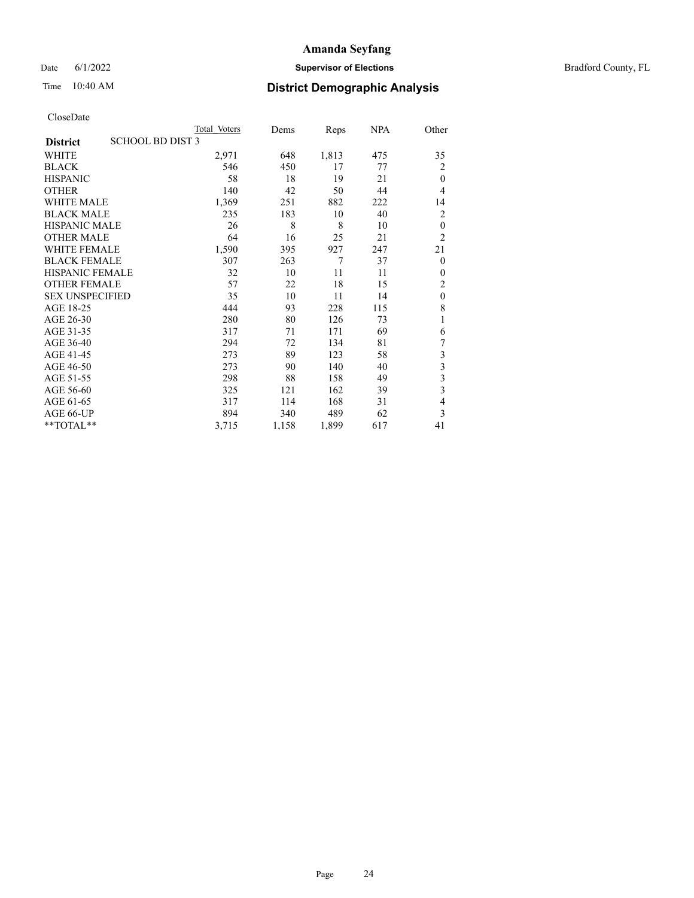Date 6/1/2022 **Supervisor of Elections Supervisor of Elections** Bradford County, FL

# Time 10:40 AM **District Demographic Analysis**

|                        |                         | Total Voters | Dems  | Reps  | <b>NPA</b> | Other                   |
|------------------------|-------------------------|--------------|-------|-------|------------|-------------------------|
| <b>District</b>        | <b>SCHOOL BD DIST 3</b> |              |       |       |            |                         |
| <b>WHITE</b>           |                         | 2,971        | 648   | 1,813 | 475        | 35                      |
| <b>BLACK</b>           |                         | 546          | 450   | 17    | 77         | $\overline{2}$          |
| <b>HISPANIC</b>        |                         | 58           | 18    | 19    | 21         | $\theta$                |
| <b>OTHER</b>           |                         | 140          | 42    | 50    | 44         | 4                       |
| <b>WHITE MALE</b>      |                         | 1,369        | 251   | 882   | 222        | 14                      |
| <b>BLACK MALE</b>      |                         | 235          | 183   | 10    | 40         | $\overline{2}$          |
| <b>HISPANIC MALE</b>   |                         | 26           | 8     | 8     | 10         | $\theta$                |
| <b>OTHER MALE</b>      |                         | 64           | 16    | 25    | 21         | $\overline{2}$          |
| <b>WHITE FEMALE</b>    |                         | 1,590        | 395   | 927   | 247        | 21                      |
| <b>BLACK FEMALE</b>    |                         | 307          | 263   | 7     | 37         | $\mathbf{0}$            |
| <b>HISPANIC FEMALE</b> |                         | 32           | 10    | 11    | 11         | $\mathbf{0}$            |
| <b>OTHER FEMALE</b>    |                         | 57           | 22    | 18    | 15         | $\overline{2}$          |
| <b>SEX UNSPECIFIED</b> |                         | 35           | 10    | 11    | 14         | $\mathbf{0}$            |
| AGE 18-25              |                         | 444          | 93    | 228   | 115        | 8                       |
| AGE 26-30              |                         | 280          | 80    | 126   | 73         | 1                       |
| AGE 31-35              |                         | 317          | 71    | 171   | 69         | 6                       |
| AGE 36-40              |                         | 294          | 72    | 134   | 81         | 7                       |
| AGE 41-45              |                         | 273          | 89    | 123   | 58         | $\mathfrak{Z}$          |
| AGE 46-50              |                         | 273          | 90    | 140   | 40         | 3                       |
| AGE 51-55              |                         | 298          | 88    | 158   | 49         | $\overline{\mathbf{3}}$ |
| AGE 56-60              |                         | 325          | 121   | 162   | 39         | 3                       |
| AGE 61-65              |                         | 317          | 114   | 168   | 31         | 4                       |
| AGE 66-UP              |                         | 894          | 340   | 489   | 62         | 3                       |
| **TOTAL**              |                         | 3,715        | 1,158 | 1,899 | 617        | 41                      |
|                        |                         |              |       |       |            |                         |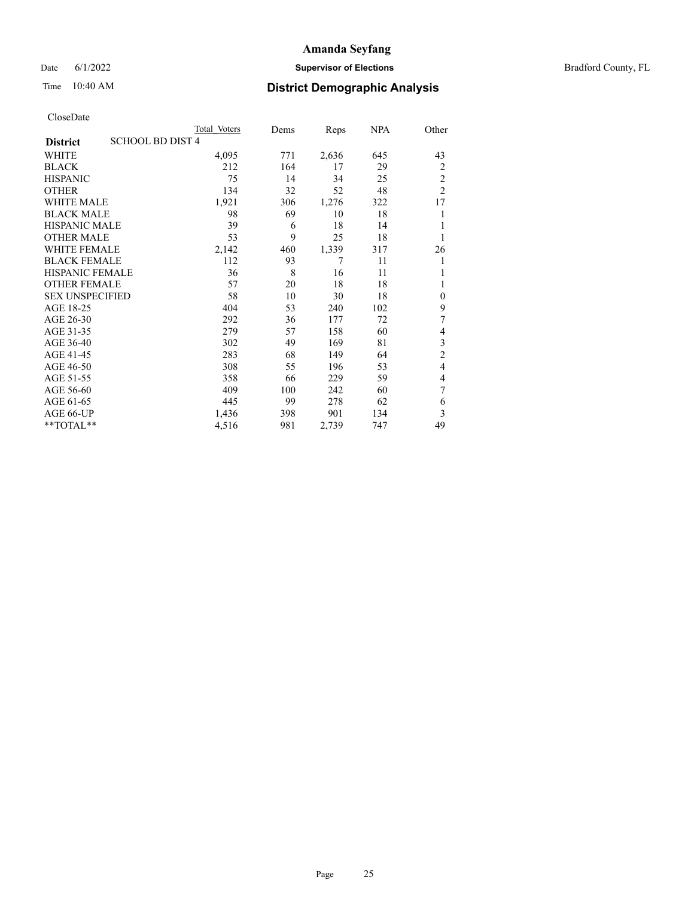Date 6/1/2022 **Supervisor of Elections Supervisor of Elections** Bradford County, FL

# Time 10:40 AM **District Demographic Analysis**

|                        |                         | Total Voters | Dems | Reps  | <b>NPA</b> | Other          |
|------------------------|-------------------------|--------------|------|-------|------------|----------------|
| <b>District</b>        | <b>SCHOOL BD DIST 4</b> |              |      |       |            |                |
| WHITE                  |                         | 4,095        | 771  | 2,636 | 645        | 43             |
| <b>BLACK</b>           |                         | 212          | 164  | 17    | 29         | 2              |
| <b>HISPANIC</b>        |                         | 75           | 14   | 34    | 25         | $\overline{c}$ |
| <b>OTHER</b>           |                         | 134          | 32   | 52    | 48         | $\overline{2}$ |
| <b>WHITE MALE</b>      |                         | 1,921        | 306  | 1,276 | 322        | 17             |
| <b>BLACK MALE</b>      |                         | 98           | 69   | 10    | 18         | 1              |
| HISPANIC MALE          |                         | 39           | 6    | 18    | 14         |                |
| OTHER MALE             |                         | 53           | 9    | 25    | 18         | 1              |
| <b>WHITE FEMALE</b>    |                         | 2,142        | 460  | 1,339 | 317        | 26             |
| <b>BLACK FEMALE</b>    |                         | 112          | 93   | 7     | 11         | 1              |
| <b>HISPANIC FEMALE</b> |                         | 36           | 8    | 16    | 11         | 1              |
| <b>OTHER FEMALE</b>    |                         | 57           | 20   | 18    | 18         |                |
| <b>SEX UNSPECIFIED</b> |                         | 58           | 10   | 30    | 18         | $\mathbf{0}$   |
| AGE 18-25              |                         | 404          | 53   | 240   | 102        | 9              |
| AGE 26-30              |                         | 292          | 36   | 177   | 72         | 7              |
| AGE 31-35              |                         | 279          | 57   | 158   | 60         | 4              |
| AGE 36-40              |                         | 302          | 49   | 169   | 81         | 3              |
| AGE 41-45              |                         | 283          | 68   | 149   | 64         | $\overline{c}$ |
| AGE 46-50              |                         | 308          | 55   | 196   | 53         | $\overline{4}$ |
| AGE 51-55              |                         | 358          | 66   | 229   | 59         | 4              |
| AGE 56-60              |                         | 409          | 100  | 242   | 60         | 7              |
| AGE 61-65              |                         | 445          | 99   | 278   | 62         | 6              |
| AGE 66-UP              |                         | 1,436        | 398  | 901   | 134        | 3              |
| $*$ $TOTAL**$          |                         | 4,516        | 981  | 2,739 | 747        | 49             |
|                        |                         |              |      |       |            |                |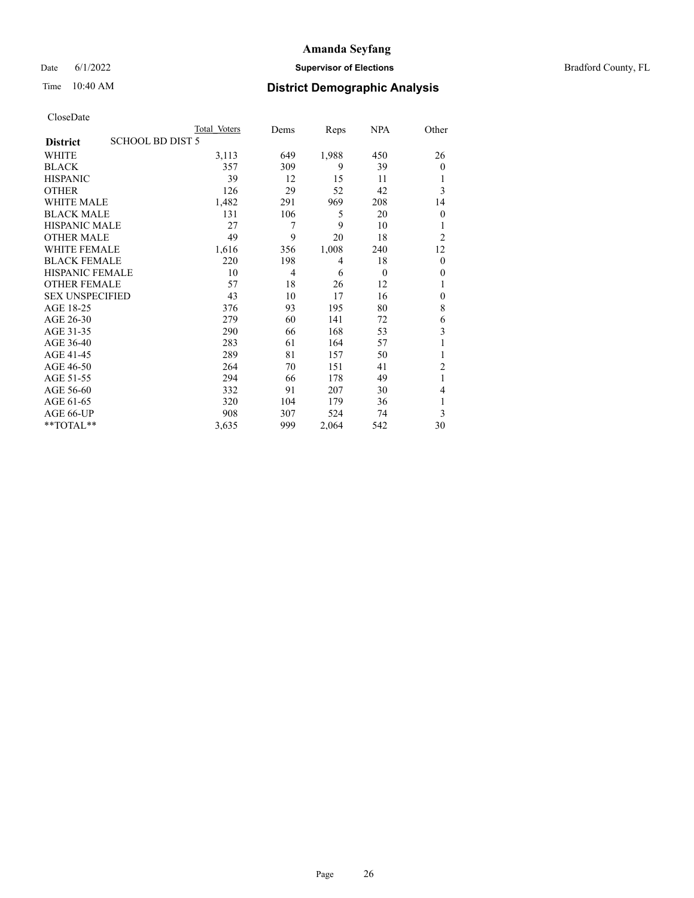Date 6/1/2022 **Supervisor of Elections Supervisor of Elections** Bradford County, FL

## Time 10:40 AM **District Demographic Analysis**

|                        |                         | Total Voters | Dems | Reps  | <b>NPA</b> | Other          |
|------------------------|-------------------------|--------------|------|-------|------------|----------------|
| <b>District</b>        | <b>SCHOOL BD DIST 5</b> |              |      |       |            |                |
| WHITE                  |                         | 3,113        | 649  | 1,988 | 450        | 26             |
| <b>BLACK</b>           |                         | 357          | 309  | 9     | 39         | $\mathbf{0}$   |
| <b>HISPANIC</b>        |                         | 39           | 12   | 15    | 11         |                |
| <b>OTHER</b>           |                         | 126          | 29   | 52    | 42         | 3              |
| <b>WHITE MALE</b>      |                         | 1,482        | 291  | 969   | 208        | 14             |
| <b>BLACK MALE</b>      |                         | 131          | 106  | 5     | 20         | $\mathbf{0}$   |
| <b>HISPANIC MALE</b>   |                         | 27           | 7    | 9     | 10         |                |
| OTHER MALE             |                         | 49           | 9    | 20    | 18         | $\overline{2}$ |
| <b>WHITE FEMALE</b>    |                         | 1,616        | 356  | 1,008 | 240        | 12             |
| <b>BLACK FEMALE</b>    |                         | 220          | 198  | 4     | 18         | $\theta$       |
| <b>HISPANIC FEMALE</b> |                         | 10           | 4    | 6     | $\theta$   | $\mathbf{0}$   |
| <b>OTHER FEMALE</b>    |                         | 57           | 18   | 26    | 12         |                |
| <b>SEX UNSPECIFIED</b> |                         | 43           | 10   | 17    | 16         | $\mathbf{0}$   |
| AGE 18-25              |                         | 376          | 93   | 195   | 80         | 8              |
| AGE 26-30              |                         | 279          | 60   | 141   | 72         | 6              |
| AGE 31-35              |                         | 290          | 66   | 168   | 53         | 3              |
| AGE 36-40              |                         | 283          | 61   | 164   | 57         | 1              |
| AGE 41-45              |                         | 289          | 81   | 157   | 50         |                |
| AGE 46-50              |                         | 264          | 70   | 151   | 41         | $\overline{2}$ |
| AGE 51-55              |                         | 294          | 66   | 178   | 49         | 1              |
| AGE 56-60              |                         | 332          | 91   | 207   | 30         | 4              |
| AGE 61-65              |                         | 320          | 104  | 179   | 36         | 1              |
| AGE 66-UP              |                         | 908          | 307  | 524   | 74         | 3              |
| $*$ $TOTAL**$          |                         | 3,635        | 999  | 2,064 | 542        | 30             |
|                        |                         |              |      |       |            |                |